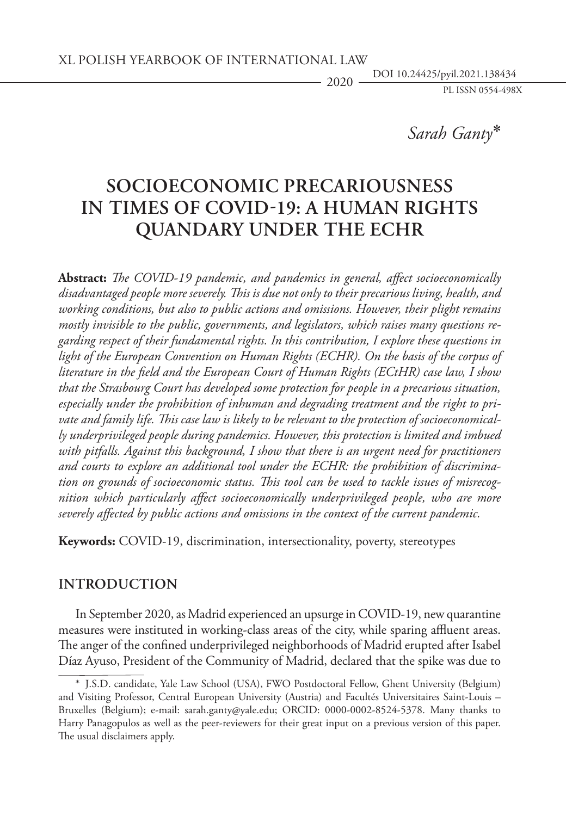*Sarah Ganty* ∗

# **Socioeconomic precariousness in times of COVID-19: A human rights quandary under the ECHR**

**Abstract:** *The COVID-19 pandemic, and pandemics in general, affect socioeconomically disadvantaged people more severely. This is due not only to their precarious living, health, and working conditions, but also to public actions and omissions. However, their plight remains mostly invisible to the public, governments, and legislators, which raises many questions regarding respect of their fundamental rights. In this contribution, I explore these questions in*  light of the European Convention on Human Rights (ECHR). On the basis of the corpus of *literature in the field and the European Court of Human Rights (ECtHR) case law, I show that the Strasbourg Court has developed some protection for people in a precarious situation, especially under the prohibition of inhuman and degrading treatment and the right to private and family life. This case law is likely to be relevant to the protection of socioeconomically underprivileged people during pandemics. However, this protection is limited and imbued with pitfalls. Against this background, I show that there is an urgent need for practitioners and courts to explore an additional tool under the ECHR: the prohibition of discrimination on grounds of socioeconomic status. This tool can be used to tackle issues of misrecognition which particularly affect socioeconomically underprivileged people, who are more severely affected by public actions and omissions in the context of the current pandemic.*

**Keywords:** COVID-19, discrimination, intersectionality, poverty, stereotypes

## **Introduction**

In September 2020, as Madrid experienced an upsurge in COVID-19, new quarantine measures were instituted in working-class areas of the city, while sparing affluent areas. The anger of the confined underprivileged neighborhoods of Madrid erupted after Isabel Díaz Ayuso, President of the Community of Madrid, declared that the spike was due to

<sup>\*</sup> J.S.D. candidate, Yale Law School (USA), FWO Postdoctoral Fellow, Ghent University (Belgium) and Visiting Professor, Central European University (Austria) and Facultés Universitaires Saint-Louis – Bruxelles (Belgium); e-mail: [sarah.ganty@yale.edu;](mailto:sarah.ganty@yale.edu) ORCID: 0000-0002-8524-5378. Many thanks to Harry Panagopulos as well as the peer-reviewers for their great input on a previous version of this paper. The usual disclaimers apply.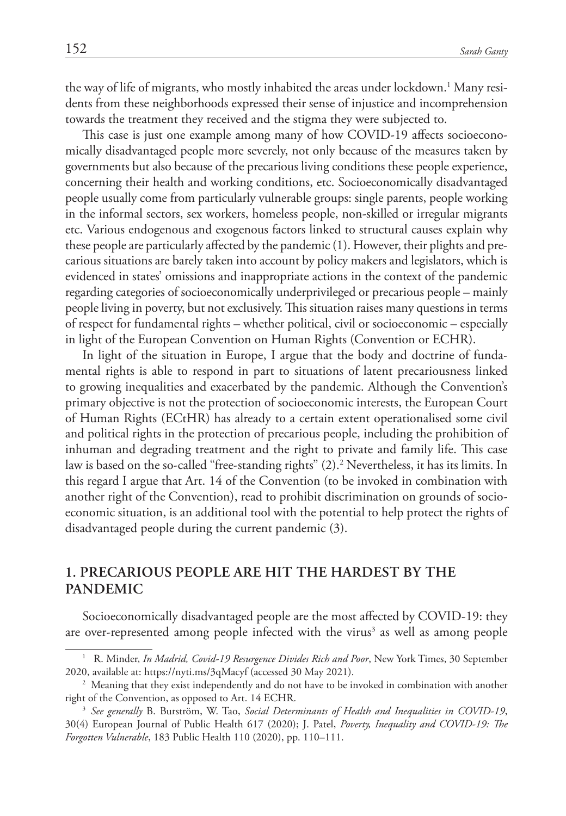the way of life of migrants, who mostly inhabited the areas under lockdown.<sup>1</sup> Many residents from these neighborhoods expressed their sense of injustice and incomprehension towards the treatment they received and the stigma they were subjected to.

This case is just one example among many of how COVID-19 affects socioeconomically disadvantaged people more severely, not only because of the measures taken by governments but also because of the precarious living conditions these people experience, concerning their health and working conditions, etc. Socioeconomically disadvantaged people usually come from particularly vulnerable groups: single parents, people working in the informal sectors, sex workers, homeless people, non-skilled or irregular migrants etc. Various endogenous and exogenous factors linked to structural causes explain why these people are particularly affected by the pandemic (1). However, their plights and precarious situations are barely taken into account by policy makers and legislators, which is evidenced in states' omissions and inappropriate actions in the context of the pandemic regarding categories of socioeconomically underprivileged or precarious people – mainly people living in poverty, but not exclusively. This situation raises many questions in terms of respect for fundamental rights – whether political, civil or socioeconomic – especially in light of the European Convention on Human Rights (Convention or ECHR).

In light of the situation in Europe, I argue that the body and doctrine of fundamental rights is able to respond in part to situations of latent precariousness linked to growing inequalities and exacerbated by the pandemic. Although the Convention's primary objective is not the protection of socioeconomic interests, the European Court of Human Rights (ECtHR) has already to a certain extent operationalised some civil and political rights in the protection of precarious people, including the prohibition of inhuman and degrading treatment and the right to private and family life. This case law is based on the so-called "free-standing rights" (2).<sup>2</sup> Nevertheless, it has its limits. In this regard I argue that Art. 14 of the Convention (to be invoked in combination with another right of the Convention), read to prohibit discrimination on grounds of socioeconomic situation, is an additional tool with the potential to help protect the rights of disadvantaged people during the current pandemic (3).

## **1. Precarious people are hit the hardest by the pandemic**

Socioeconomically disadvantaged people are the most affected by COVID-19: they are over-represented among people infected with the virus<sup>3</sup> as well as among people

<sup>1</sup> R. Minder, *In Madrid, Covid-19 Resurgence Divides Rich and Poor*, New York Times, 30 September 2020, available at:<https://nyti.ms/3qMacyf>(accessed 30 May 2021).

<sup>&</sup>lt;sup>2</sup> Meaning that they exist independently and do not have to be invoked in combination with another right of the Convention, as opposed to Art. 14 ECHR.

<sup>3</sup> *See generally* B. Burström, W. Tao, *Social Determinants of Health and Inequalities in COVID-19*, 30(4) European Journal of Public Health 617 (2020); J. Patel, *Poverty, Inequality and COVID-19: The Forgotten Vulnerable*, 183 Public Health 110 (2020), pp. 110–111.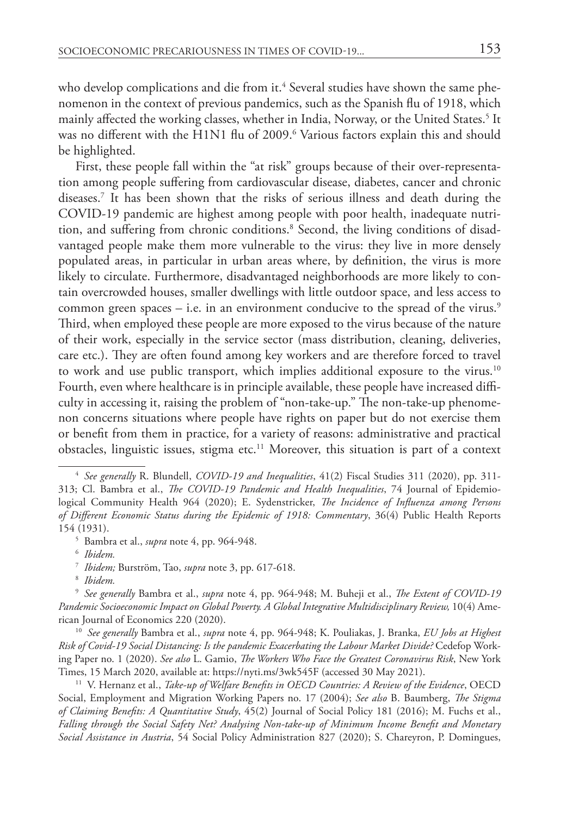who develop complications and die from it.<sup>4</sup> Several studies have shown the same phenomenon in the context of previous pandemics, such as the Spanish flu of 1918, which mainly affected the working classes, whether in India, Norway, or the United States.<sup>5</sup> It was no different with the H1N1 flu of 2009.<sup>6</sup> Various factors explain this and should be highlighted.

First, these people fall within the "at risk" groups because of their over-representation among people suffering from cardiovascular disease, diabetes, cancer and chronic diseases.7 It has been shown that the risks of serious illness and death during the COVID-19 pandemic are highest among people with poor health, inadequate nutrition, and suffering from chronic conditions.8 Second, the living conditions of disadvantaged people make them more vulnerable to the virus: they live in more densely populated areas, in particular in urban areas where, by definition, the virus is more likely to circulate. Furthermore, disadvantaged neighborhoods are more likely to contain overcrowded houses, smaller dwellings with little outdoor space, and less access to common green spaces  $-$  i.e. in an environment conducive to the spread of the virus.<sup>9</sup> Third, when employed these people are more exposed to the virus because of the nature of their work, especially in the service sector (mass distribution, cleaning, deliveries, care etc.). They are often found among key workers and are therefore forced to travel to work and use public transport, which implies additional exposure to the virus.<sup>10</sup> Fourth, even where healthcare is in principle available, these people have increased difficulty in accessing it, raising the problem of "non-take-up." The non-take-up phenomenon concerns situations where people have rights on paper but do not exercise them or benefit from them in practice, for a variety of reasons: administrative and practical obstacles, linguistic issues, stigma etc.<sup>11</sup> Moreover, this situation is part of a context

<sup>10</sup> *See generally* Bambra et al., *supra* note 4, pp. 964-948; K. Pouliakas, J. Branka, *EU Jobs at Highest Risk of Covid-19 Social Distancing: Is the pandemic Exacerbating the Labour Market Divide?* Cedefop Working Paper no. 1 (2020). *See also* L. Gamio, *The Workers Who Face the Greatest Coronavirus Risk*, New York Times, 15 March 2020, available at: <https://nyti.ms/3wk545F>(accessed 30 May 2021).

11 V. Hernanz et al., *Take-up of Welfare Benefits in OECD Countries: A Review of the Evidence*, OECD Social, Employment and Migration Working Papers no. 17 (2004); *See also* B. Baumberg, *The Stigma of Claiming Benefits: A Quantitative Study*, 45(2) Journal of Social Policy 181 (2016); M. Fuchs et al., *Falling through the Social Safety Net? Analysing Non‐take‐up of Minimum Income Benefit and Monetary Social Assistance in Austria*, 54 Social Policy Administration 827 (2020); S. Chareyron, P. Domingues,

<sup>4</sup> *See generally* R. Blundell, *COVID-19 and Inequalities*, 41(2) Fiscal Studies 311 (2020), pp. 311- 313; Cl. Bambra et al., *The COVID-19 Pandemic and Health Inequalities*, 74 Journal of Epidemiological Community Health 964 (2020); E. Sydenstricker, *The Incidence of Influenza among Persons of Different Economic Status during the Epidemic of 1918: Commentary*, 36(4) Public Health Reports 154 (1931).

<sup>5</sup> Bambra et al., *supra* note 4, pp. 964-948.

<sup>6</sup> *Ibidem.*

<sup>7</sup> *Ibidem;* Burström, Tao, *supra* note 3, pp. 617-618.

<sup>8</sup> *Ibidem.*

<sup>9</sup> *See generally* Bambra et al., *supra* note 4, pp. 964-948; M. Buheji et al., *The Extent of COVID-19 Pandemic Socioeconomic Impact on Global Poverty. A Global Integrative Multidisciplinary Review,* 10(4) American Journal of Economics 220 (2020).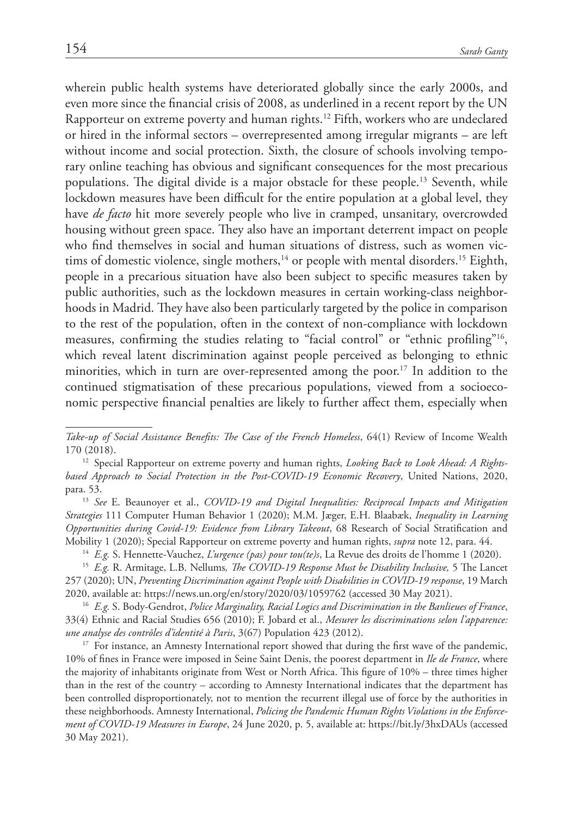wherein public health systems have deteriorated globally since the early 2000s, and even more since the financial crisis of 2008, as underlined in a recent report by the UN Rapporteur on extreme poverty and human rights.12 Fifth, workers who are undeclared or hired in the informal sectors – overrepresented among irregular migrants – are left without income and social protection. Sixth, the closure of schools involving temporary online teaching has obvious and significant consequences for the most precarious populations. The digital divide is a major obstacle for these people.13 Seventh, while lockdown measures have been difficult for the entire population at a global level, they have *de facto* hit more severely people who live in cramped, unsanitary, overcrowded housing without green space. They also have an important deterrent impact on people who find themselves in social and human situations of distress, such as women victims of domestic violence, single mothers,<sup>14</sup> or people with mental disorders.<sup>15</sup> Eighth, people in a precarious situation have also been subject to specific measures taken by public authorities, such as the lockdown measures in certain working-class neighborhoods in Madrid. They have also been particularly targeted by the police in comparison to the rest of the population, often in the context of non-compliance with lockdown measures, confirming the studies relating to "facial control" or "ethnic profiling"<sup>16</sup>, which reveal latent discrimination against people perceived as belonging to ethnic minorities, which in turn are over-represented among the poor.<sup>17</sup> In addition to the continued stigmatisation of these precarious populations, viewed from a socioeconomic perspective financial penalties are likely to further affect them, especially when

<sup>13</sup> *See* E. Beaunoyer et al., *COVID-19 and Digital Inequalities: Reciprocal Impacts and Mitigation Strategies* 111 Computer Human Behavior 1 (2020); M.M. Jæger, E.H. Blaabæk, *Inequality in Learning Opportunities during Covid-19: Evidence from Library Takeout*, 68 Research of Social Stratification and Mobility 1 (2020); Special Rapporteur on extreme poverty and human rights, *supra* note 12, para. 44.

<sup>14</sup> *E.g.* S. Hennette-Vauchez, *L'urgence (pas) pour tou(te)s*, La Revue des droits de l'homme 1 (2020).

<sup>15</sup> *E.g.* R. Armitage, L.B. Nellums*, The COVID-19 Response Must be Disability Inclusive,* 5 The Lancet 257 (2020); UN, *Preventing Discrimination against People with Disabilities in COVID-19 response*, 19 March 2020, available at:<https://news.un.org/en/story/2020/03/1059762>(accessed 30 May 2021).

<sup>16</sup> *E.g.* S. Body-Gendrot, *Police Marginality, Racial Logics and Discrimination in the Banlieues of France*, 33(4) Ethnic and Racial Studies 656 (2010); F. Jobard et al., *Mesurer les discriminations selon l'apparence: une analyse des contrôles d'identité à Paris*, 3(67) Population 423 (2012).

<sup>17</sup> For instance, an Amnesty International report showed that during the first wave of the pandemic, 10% of fines in France were imposed in Seine Saint Denis, the poorest department in *Ile de France*, where the majority of inhabitants originate from West or North Africa. This figure of 10% – three times higher than in the rest of the country – according to Amnesty International indicates that the department has been controlled disproportionately, not to mention the recurrent illegal use of force by the authorities in these neighborhoods. Amnesty International, *Policing the Pandemic Human Rights Violations in the Enforcement of COVID-19 Measures in Europe*, 24 June 2020, p. 5, available at: https://bit.ly/3hxDAUs (accessed 30 May 2021).

*Take-up of Social Assistance Benefits: The Case of the French Homeless*, 64(1) Review of Income Wealth 170 (2018).

<sup>&</sup>lt;sup>12</sup> Special Rapporteur on extreme poverty and human rights, *Looking Back to Look Ahead: A Rightsbased Approach to Social Protection in the Post-COVID-19 Economic Recovery*, United Nations, 2020, para. 53.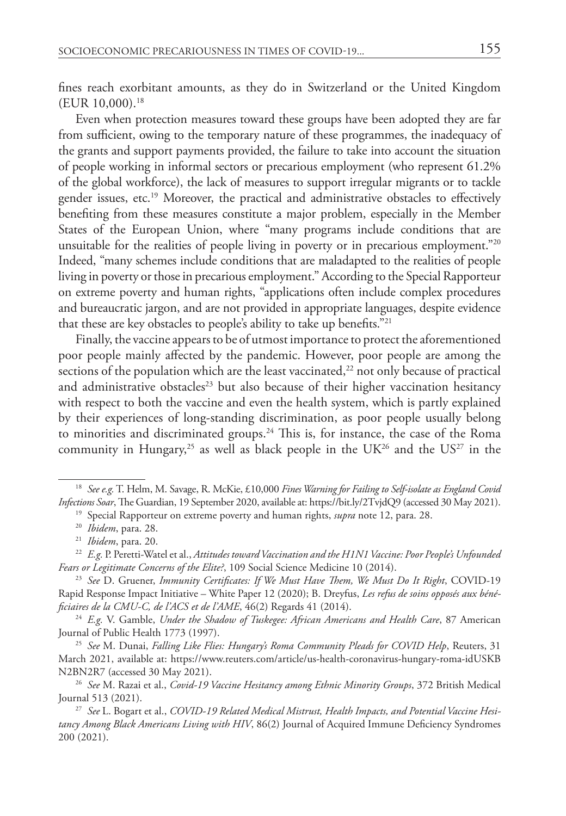fines reach exorbitant amounts, as they do in Switzerland or the United Kingdom (EUR 10,000).18

Even when protection measures toward these groups have been adopted they are far from sufficient, owing to the temporary nature of these programmes, the inadequacy of the grants and support payments provided, the failure to take into account the situation of people working in informal sectors or precarious employment (who represent 61.2% of the global workforce), the lack of measures to support irregular migrants or to tackle gender issues, etc.19 Moreover, the practical and administrative obstacles to effectively benefiting from these measures constitute a major problem, especially in the Member States of the European Union, where "many programs include conditions that are unsuitable for the realities of people living in poverty or in precarious employment."20 Indeed, "many schemes include conditions that are maladapted to the realities of people living in poverty or those in precarious employment." According to the Special Rapporteur on extreme poverty and human rights, "applications often include complex procedures and bureaucratic jargon, and are not provided in appropriate languages, despite evidence that these are key obstacles to people's ability to take up benefits."21

Finally, the vaccine appears to be of utmost importance to protect the aforementioned poor people mainly affected by the pandemic. However, poor people are among the sections of the population which are the least vaccinated,<sup>22</sup> not only because of practical and administrative obstacles<sup>23</sup> but also because of their higher vaccination hesitancy with respect to both the vaccine and even the health system, which is partly explained by their experiences of long-standing discrimination, as poor people usually belong to minorities and discriminated groups.<sup>24</sup> This is, for instance, the case of the Roma community in Hungary,<sup>25</sup> as well as black people in the UK<sup>26</sup> and the US<sup>27</sup> in the

<sup>24</sup> *E.g.* V. Gamble, *Under the Shadow of Tuskegee: African Americans and Health Care*, 87 American Journal of Public Health 1773 (1997).

<sup>25</sup> *See* M. Dunai, *Falling Like Flies: Hungary's Roma Community Pleads for COVID Help*, Reuters, 31 March 2021, available at: [https://www.reuters.com/article/us-health-coronavirus-hungary-roma-idUSKB](https://www.reuters.com/article/us-health-coronavirus-hungary-roma-idUSKBN2BN2R7) [N2BN2R7](https://www.reuters.com/article/us-health-coronavirus-hungary-roma-idUSKBN2BN2R7) (accessed 30 May 2021).

<sup>26</sup> *See* M. Razai et al., *Covid-19 Vaccine Hesitancy among Ethnic Minority Groups*, 372 British Medical Journal 513 (2021).

<sup>27</sup> *See* L. Bogart et al., *COVID-19 Related Medical Mistrust, Health Impacts, and Potential Vaccine Hesitancy Among Black Americans Living with HIV*, 86(2) Journal of Acquired Immune Deficiency Syndromes 200 (2021).

<sup>18</sup> *See e.g.*T. Helm, M. Savage, R. McKie, £10,000 *Fines Warning for Failing to Self-isolate as England Covid Infections Soar*,The Guardian, 19 September 2020, available at:<https://bit.ly/2TvjdQ9> (accessed 30 May 2021).

<sup>19</sup> Special Rapporteur on extreme poverty and human rights, *supra* note 12, para. 28.

<sup>20</sup> *Ibidem*, para. 28.

<sup>21</sup> *Ibidem*, para. 20.

<sup>22</sup> *E.g.* P. Peretti-Watel et al., *Attitudes toward Vaccination and the H1N1 Vaccine: Poor People's Unfounded Fears or Legitimate Concerns of the Elite?*, 109 Social Science Medicine 10 (2014).

<sup>23</sup> *See* D. Gruener, *Immunity Certificates: If We Must Have Them, We Must Do It Right*, COVID-19 Rapid Response Impact Initiative – White Paper 12 (2020); B. Dreyfus, *Les refus de soins opposés aux bénéficiaires de la CMU-C, de l'ACS et de l'AME*, 46(2) Regards 41 (2014).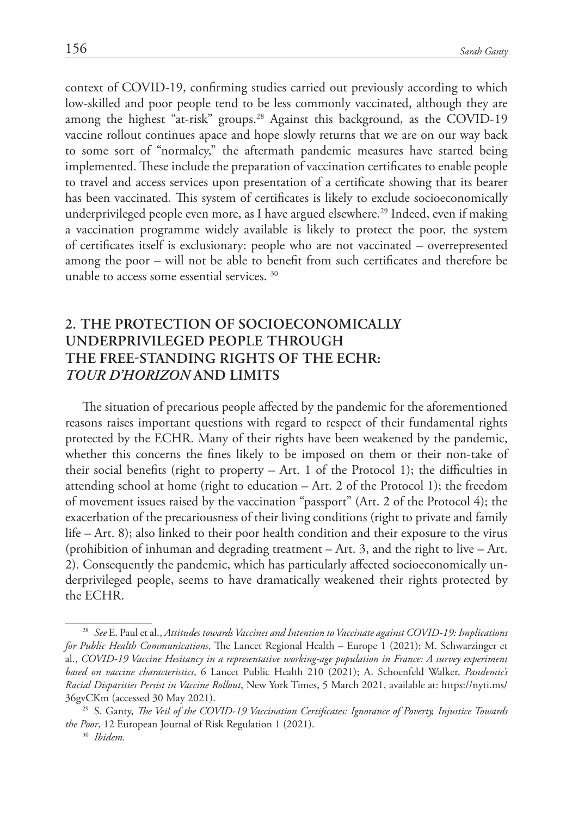context of COVID-19, confirming studies carried out previously according to which low-skilled and poor people tend to be less commonly vaccinated, although they are among the highest "at-risk" groups.<sup>28</sup> Against this background, as the COVID-19 vaccine rollout continues apace and hope slowly returns that we are on our way back to some sort of "normalcy," the aftermath pandemic measures have started being implemented. These include the preparation of vaccination certificates to enable people to travel and access services upon presentation of a certificate showing that its bearer has been vaccinated. This system of certificates is likely to exclude socioeconomically underprivileged people even more, as I have argued elsewhere.<sup>29</sup> Indeed, even if making a vaccination programme widely available is likely to protect the poor, the system of certificates itself is exclusionary: people who are not vaccinated – overrepresented among the poor – will not be able to benefit from such certificates and therefore be unable to access some essential services.<sup>30</sup>

# **2. The protection of socioeconomically underprivileged people through the free-standing rights of the ECHR:**  *tour d'horizon* **and limits**

The situation of precarious people affected by the pandemic for the aforementioned reasons raises important questions with regard to respect of their fundamental rights protected by the ECHR. Many of their rights have been weakened by the pandemic, whether this concerns the fines likely to be imposed on them or their non-take of their social benefits (right to property  $-$  Art. 1 of the Protocol 1); the difficulties in attending school at home (right to education – Art. 2 of the Protocol 1); the freedom of movement issues raised by the vaccination "passport" (Art. 2 of the Protocol 4); the exacerbation of the precariousness of their living conditions (right to private and family life – Art. 8); also linked to their poor health condition and their exposure to the virus (prohibition of inhuman and degrading treatment – Art. 3, and the right to live – Art. 2). Consequently the pandemic, which has particularly affected socioeconomically underprivileged people, seems to have dramatically weakened their rights protected by the ECHR.

<sup>28</sup> *See* E. Paul et al., *Attitudes towards Vaccines and Intention to Vaccinate against COVID-19: Implications for Public Health Communications*, The Lancet Regional Health – Europe 1 (2021); M. Schwarzinger et al., *COVID-19 Vaccine Hesitancy in a representative working-age population in France: A survey experiment based on vaccine characteristics*, 6 Lancet Public Health 210 (2021); A. Schoenfeld Walker, *Pandemic's Racial Disparities Persist in Vaccine Rollout*, New York Times, 5 March 2021, available at: https://nyti.ms/ 36gvCKm (accessed 30 May 2021).

<sup>29</sup> S. Ganty, *The Veil of the COVID-19 Vaccination Certificates: Ignorance of Poverty, Injustice Towards the Poor*, 12 European Journal of Risk Regulation 1 (2021).

<sup>30</sup> *Ibidem.*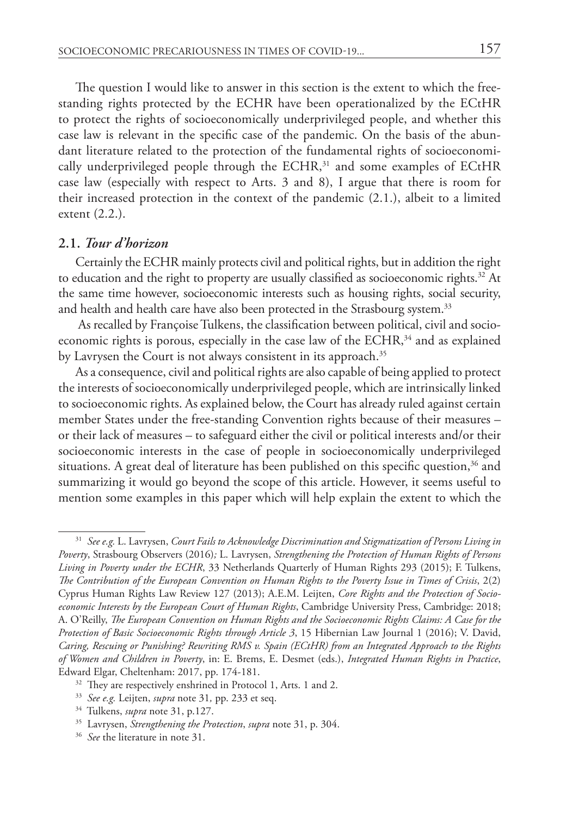The question I would like to answer in this section is the extent to which the freestanding rights protected by the ECHR have been operationalized by the ECtHR to protect the rights of socioeconomically underprivileged people, and whether this case law is relevant in the specific case of the pandemic. On the basis of the abundant literature related to the protection of the fundamental rights of socioeconomically underprivileged people through the ECHR, 31 and some examples of ECtHR case law (especially with respect to Arts. 3 and 8), I argue that there is room for their increased protection in the context of the pandemic (2.1.), albeit to a limited extent (2.2.).

### **2.1.** *Tour d'horizon*

Certainly the ECHR mainly protects civil and political rights, but in addition the right to education and the right to property are usually classified as socioeconomic rights. $32$  At the same time however, socioeconomic interests such as housing rights, social security, and health and health care have also been protected in the Strasbourg system.<sup>33</sup>

As recalled by Françoise Tulkens, the classification between political, civil and socioeconomic rights is porous, especially in the case law of the ECHR, 34 and as explained by Lavrysen the Court is not always consistent in its approach.<sup>35</sup>

As a consequence, civil and political rights are also capable of being applied to protect the interests of socioeconomically underprivileged people, which are intrinsically linked to socioeconomic rights. As explained below, the Court has already ruled against certain member States under the free-standing Convention rights because of their measures – or their lack of measures – to safeguard either the civil or political interests and/or their socioeconomic interests in the case of people in socioeconomically underprivileged situations. A great deal of literature has been published on this specific question, $36$  and summarizing it would go beyond the scope of this article. However, it seems useful to mention some examples in this paper which will help explain the extent to which the

<sup>31</sup> *See e.g.* L. Lavrysen, *Court Fails to Acknowledge Discrimination and Stigmatization of Persons Living in Poverty*, Strasbourg Observers (2016)*;* L. Lavrysen, *Strengthening the Protection of Human Rights of Persons Living in Poverty under the ECHR*, 33 Netherlands Quarterly of Human Rights 293 (2015); F. Tulkens, *The Contribution of the European Convention on Human Rights to the Poverty Issue in Times of Crisis*, 2(2) Cyprus Human Rights Law Review 127 (2013); A.E.M. Leijten, *Core Rights and the Protection of Socioeconomic Interests by the European Court of Human Rights*, Cambridge University Press, Cambridge: 2018; A. O'Reilly, *The European Convention on Human Rights and the Socioeconomic Rights Claims: A Case for the Protection of Basic Socioeconomic Rights through Article 3*, 15 Hibernian Law Journal 1 (2016); V. David, *Caring, Rescuing or Punishing? Rewriting RMS v. Spain (ECtHR) from an Integrated Approach to the Rights of Women and Children in Poverty*, in: E. Brems, E. Desmet (eds.), *Integrated Human Rights in Practice*, Edward Elgar, Cheltenham: 2017, pp. 174-181.

<sup>&</sup>lt;sup>32</sup> They are respectively enshrined in Protocol 1, Arts. 1 and 2.

<sup>33</sup> *See e.g.* Leijten, *supra* note 31*,* pp. 233 et seq. 34 Tulkens, *supra* note 31, p.127.

<sup>35</sup> Lavrysen, *Strengthening the Protection*, *supra* note 31, p. 304.

<sup>&</sup>lt;sup>36</sup> *See* the literature in note 31.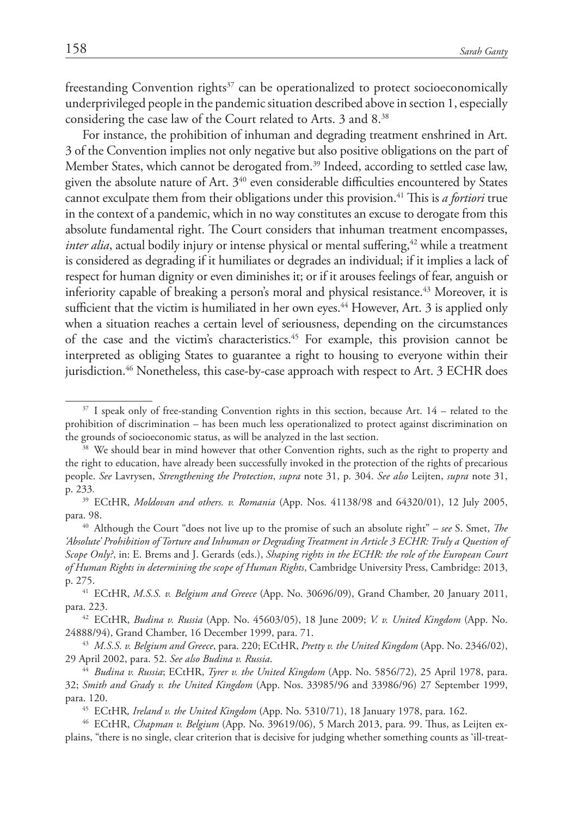freestanding Convention rights $37$  can be operationalized to protect socioeconomically underprivileged people in the pandemic situation described above in section 1, especially considering the case law of the Court related to Arts. 3 and 8.38

For instance, the prohibition of inhuman and degrading treatment enshrined in Art. 3 of the Convention implies not only negative but also positive obligations on the part of Member States, which cannot be derogated from.<sup>39</sup> Indeed, according to settled case law, given the absolute nature of Art.  $3^{40}$  even considerable difficulties encountered by States cannot exculpate them from their obligations under this provision.41 This is *a fortiori* true in the context of a pandemic, which in no way constitutes an excuse to derogate from this absolute fundamental right. The Court considers that inhuman treatment encompasses, *inter alia*, actual bodily injury or intense physical or mental suffering,<sup>42</sup> while a treatment is considered as degrading if it humiliates or degrades an individual; if it implies a lack of respect for human dignity or even diminishes it; or if it arouses feelings of fear, anguish or inferiority capable of breaking a person's moral and physical resistance.<sup>43</sup> Moreover, it is sufficient that the victim is humiliated in her own eyes.<sup>44</sup> However, Art. 3 is applied only when a situation reaches a certain level of seriousness, depending on the circumstances of the case and the victim's characteristics.45 For example, this provision cannot be interpreted as obliging States to guarantee a right to housing to everyone within their jurisdiction.<sup>46</sup> Nonetheless, this case-by-case approach with respect to Art. 3 ECHR does

40 Although the Court "does not live up to the promise of such an absolute right" – *see* S. Smet, *The 'Absolute' Prohibition of Torture and Inhuman or Degrading Treatment in Article 3 ECHR: Truly a Question of Scope Only?*, in: E. Brems and J. Gerards (eds.), *Shaping rights in the ECHR: the role of the European Court of Human Rights in determining the scope of Human Rights*, Cambridge University Press, Cambridge: 2013, p. 275.

<sup>41</sup> ECtHR, *M.S.S. v. Belgium and Greece* (App. No. 30696/09), Grand Chamber, 20 January 2011, para. 223.

<sup>42</sup> ECtHR, *Budina v. Russia* (App. No. 45603/05), 18 June 2009; *V. v. United Kingdom* (App. No. 24888/94), Grand Chamber, 16 December 1999, para. 71.

<sup>43</sup> *M.S.S. v. Belgium and Greece*, para. 220; ECtHR, *Pretty v. the United Kingdom* (App. No. 2346/02), 29 April 2002, para. 52. *See also Budina v. Russia*.

<sup>&</sup>lt;sup>37</sup> I speak only of free-standing Convention rights in this section, because Art. 14 – related to the prohibition of discrimination – has been much less operationalized to protect against discrimination on the grounds of socioeconomic status, as will be analyzed in the last section.

<sup>&</sup>lt;sup>38</sup> We should bear in mind however that other Convention rights, such as the right to property and the right to education, have already been successfully invoked in the protection of the rights of precarious people. *See* Lavrysen, *Strengthening the Protection*, *supra* note 31, p. 304. *See also* Leijten, *supra* note 31, p. 233*.*

<sup>39</sup> ECtHR, *Moldovan and others. v. Romania* (App. Nos. 41138/98 and 64320/01), 12 July 2005, para. 98.

<sup>44</sup> *Budina v. Russia*; ECtHR, *Tyrer v. the United Kingdom* (App. No. 5856/72)*,* 25 April 1978, para. 32; *Smith and Grady v. the United Kingdom* (App. Nos. 33985/96 and 33986/96) 27 September 1999, para. 120.

<sup>45</sup> ECtHR*, Ireland v. the United Kingdom* (App. No. 5310/71), 18 January 1978, para. 162.

<sup>46</sup> ECtHR, *Chapman v. Belgium* (App. No. 39619/06), 5 March 2013, para. 99. Thus, as Leijten explains, "there is no single, clear criterion that is decisive for judging whether something counts as 'ill-treat-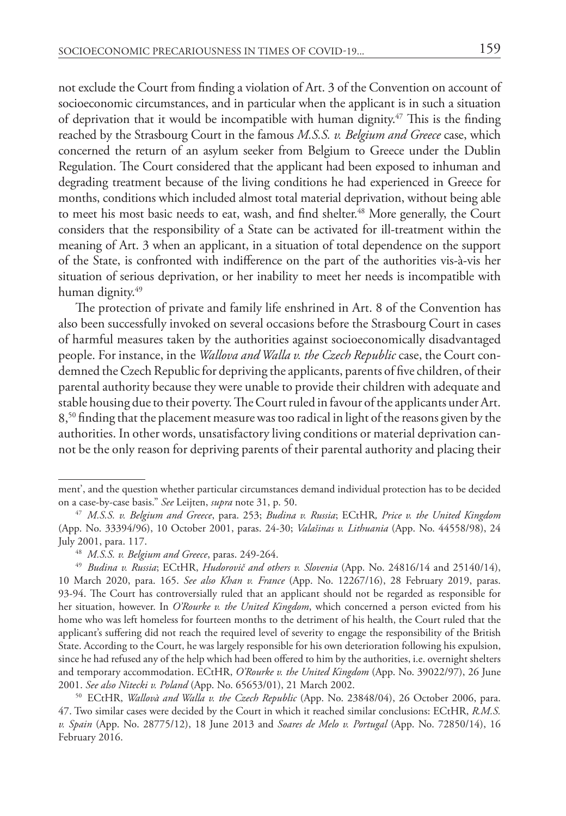not exclude the Court from finding a violation of Art. 3 of the Convention on account of socioeconomic circumstances, and in particular when the applicant is in such a situation of deprivation that it would be incompatible with human dignity.47 This is the finding reached by the Strasbourg Court in the famous *M.S.S. v. Belgium and Greece* case, which concerned the return of an asylum seeker from Belgium to Greece under the Dublin Regulation. The Court considered that the applicant had been exposed to inhuman and degrading treatment because of the living conditions he had experienced in Greece for months, conditions which included almost total material deprivation, without being able to meet his most basic needs to eat, wash, and find shelter.<sup>48</sup> More generally, the Court considers that the responsibility of a State can be activated for ill-treatment within the meaning of Art. 3 when an applicant, in a situation of total dependence on the support of the State, is confronted with indifference on the part of the authorities vis-à-vis her situation of serious deprivation, or her inability to meet her needs is incompatible with human dignity.<sup>49</sup>

The protection of private and family life enshrined in Art. 8 of the Convention has also been successfully invoked on several occasions before the Strasbourg Court in cases of harmful measures taken by the authorities against socioeconomically disadvantaged people. For instance, in the *Wallova and Walla v. the Czech Republic* case, the Court condemned the Czech Republic for depriving the applicants, parents of five children, of their parental authority because they were unable to provide their children with adequate and stable housing due to their poverty. The Court ruled in favour of the applicants under Art. 8,50 finding that the placement measure was too radical in light of the reasons given by the authorities. In other words, unsatisfactory living conditions or material deprivation cannot be the only reason for depriving parents of their parental authority and placing their

<sup>50</sup> ECtHR, *Wallovà and Walla v. the Czech Republic* (App. No. 23848/04), 26 October 2006, para. 47. Two similar cases were decided by the Court in which it reached similar conclusions: ECtHR, *R.M.S. v. Spain* (App. No. 28775/12), 18 June 2013 and *Soares de Melo v. Portugal* (App. No. 72850/14), 16 February 2016.

ment', and the question whether particular circumstances demand individual protection has to be decided on a case-by-case basis." *See* Leijten, *supra* note 31, p. 50.

<sup>47</sup> *M.S.S. v. Belgium and Greece*, para. 253; *Budina v. Russia*; ECtHR*, Price v. the United Kingdom*  (App. No. 33394/96), 10 October 2001, paras. 24-30; *Valašinas v. Lithuania* (App. No. 44558/98), 24 July 2001, para. 117.

<sup>48</sup> *M.S.S. v. Belgium and Greece*, paras. 249-264.

<sup>49</sup> *Budina v. Russia*; ECtHR, *Hudorovič and others v. Slovenia* (App. No. 24816/14 and 25140/14), 10 March 2020, para. 165. *See also Khan v. France* (App. No. 12267/16), 28 February 2019, paras. 93-94. The Court has controversially ruled that an applicant should not be regarded as responsible for her situation, however. In *O'Rourke v. the United Kingdom*, which concerned a person evicted from his home who was left homeless for fourteen months to the detriment of his health, the Court ruled that the applicant's suffering did not reach the required level of severity to engage the responsibility of the British State. According to the Court, he was largely responsible for his own deterioration following his expulsion, since he had refused any of the help which had been offered to him by the authorities, i.e. overnight shelters and temporary accommodation. ECtHR, *O'Rourke v. the United Kingdom* (App. No. 39022/97), 26 June 2001. *See also Nitecki v. Poland* (App. No. 65653/01), 21 March 2002.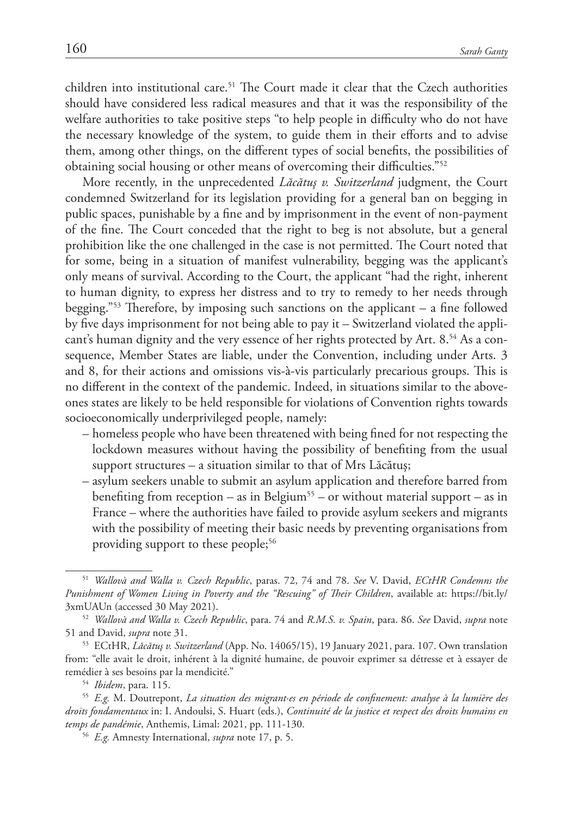children into institutional care.<sup>51</sup> The Court made it clear that the Czech authorities should have considered less radical measures and that it was the responsibility of the welfare authorities to take positive steps "to help people in difficulty who do not have the necessary knowledge of the system, to guide them in their efforts and to advise them, among other things, on the different types of social benefits, the possibilities of obtaining social housing or other means of overcoming their difficulties."52

More recently, in the unprecedented *Lăcătuş v. Switzerland* judgment, the Court condemned Switzerland for its legislation providing for a general ban on begging in public spaces, punishable by a fine and by imprisonment in the event of non-payment of the fine. The Court conceded that the right to beg is not absolute, but a general prohibition like the one challenged in the case is not permitted. The Court noted that for some, being in a situation of manifest vulnerability, begging was the applicant's only means of survival. According to the Court, the applicant "had the right, inherent to human dignity, to express her distress and to try to remedy to her needs through begging."53 Therefore, by imposing such sanctions on the applicant – a fine followed by five days imprisonment for not being able to pay it – Switzerland violated the applicant's human dignity and the very essence of her rights protected by Art. 8.54 As a consequence, Member States are liable, under the Convention, including under Arts. 3 and 8, for their actions and omissions vis-à-vis particularly precarious groups. This is no different in the context of the pandemic. Indeed, in situations similar to the aboveones states are likely to be held responsible for violations of Convention rights towards socioeconomically underprivileged people, namely:

- homeless people who have been threatened with being fined for not respecting the lockdown measures without having the possibility of benefiting from the usual support structures – a situation similar to that of Mrs Lăcătuş;
- asylum seekers unable to submit an asylum application and therefore barred from benefiting from reception – as in Belgium<sup>55</sup> – or without material support – as in France – where the authorities have failed to provide asylum seekers and migrants with the possibility of meeting their basic needs by preventing organisations from providing support to these people;<sup>56</sup>

<sup>51</sup> *Wallovà and Walla v. Czech Republic*, paras. 72, 74 and 78. *See* V. David, *ECtHR Condemns the Punishment of Women Living in Poverty and the "Rescuing" of Their Children*, available at: https://bit.ly/ 3xmUAUn (accessed 30 May 2021).

<sup>52</sup> *Wallovà and Walla v. Czech Republic*, para. 74 and *R.M.S. v. Spain*, para. 86. *See* David, *supra* note 51 and David, *supra* note 31.

<sup>53</sup> ECtHR, *Lăcătuş v. Switzerland* (App. No. 14065/15), 19 January 2021, para. 107. Own translation from: "elle avait le droit, inhérent à la dignité humaine, de pouvoir exprimer sa détresse et à essayer de remédier à ses besoins par la mendicité."

<sup>54</sup> *Ibidem*, para. 115.

<sup>55</sup> *E.g.* M. Doutrepont, *La situation des migrant·es en période de confinement: analyse à la lumière des droits fondamentaux* in: I. Andoulsi, S. Huart (eds.), *Continuité de la justice et respect des droits humains en temps de pandémie*, Anthemis, Limal: 2021, pp. 111-130.

<sup>56</sup> *E.g.* Amnesty International, *supra* note 17, p. 5.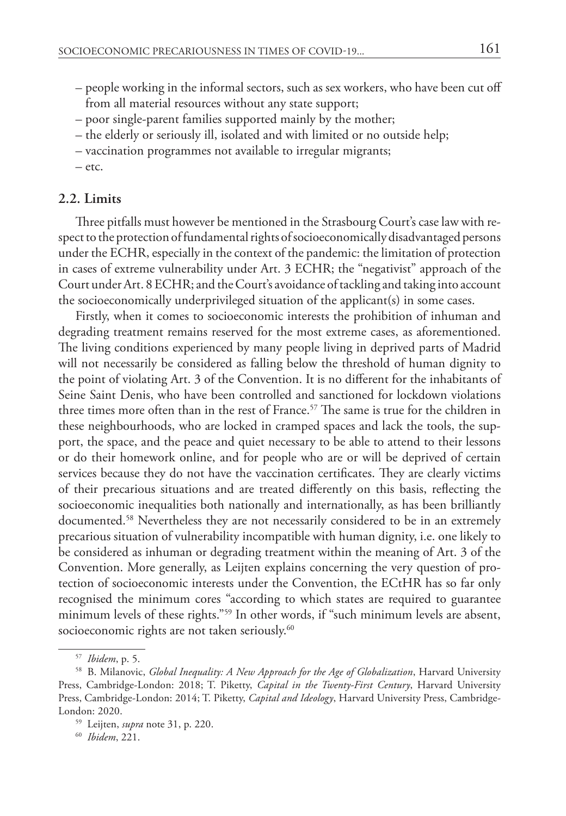- people working in the informal sectors, such as sex workers, who have been cut off from all material resources without any state support;
- poor single-parent families supported mainly by the mother;
- the elderly or seriously ill, isolated and with limited or no outside help;
- vaccination programmes not available to irregular migrants;
- etc.

# **2.2. Limits**

Three pitfalls must however be mentioned in the Strasbourg Court's case law with respect to the protection of fundamental rights of socioeconomically disadvantaged persons under the ECHR, especially in the context of the pandemic: the limitation of protection in cases of extreme vulnerability under Art. 3 ECHR; the "negativist" approach of the Court under Art. 8 ECHR; and the Court's avoidance of tackling and taking into account the socioeconomically underprivileged situation of the applicant(s) in some cases.

Firstly, when it comes to socioeconomic interests the prohibition of inhuman and degrading treatment remains reserved for the most extreme cases, as aforementioned. The living conditions experienced by many people living in deprived parts of Madrid will not necessarily be considered as falling below the threshold of human dignity to the point of violating Art. 3 of the Convention. It is no different for the inhabitants of Seine Saint Denis, who have been controlled and sanctioned for lockdown violations three times more often than in the rest of France.<sup>57</sup> The same is true for the children in these neighbourhoods, who are locked in cramped spaces and lack the tools, the support, the space, and the peace and quiet necessary to be able to attend to their lessons or do their homework online, and for people who are or will be deprived of certain services because they do not have the vaccination certificates. They are clearly victims of their precarious situations and are treated differently on this basis, reflecting the socioeconomic inequalities both nationally and internationally, as has been brilliantly documented.58 Nevertheless they are not necessarily considered to be in an extremely precarious situation of vulnerability incompatible with human dignity, i.e. one likely to be considered as inhuman or degrading treatment within the meaning of Art. 3 of the Convention. More generally, as Leijten explains concerning the very question of protection of socioeconomic interests under the Convention, the ECtHR has so far only recognised the minimum cores "according to which states are required to guarantee minimum levels of these rights."59 In other words, if "such minimum levels are absent, socioeconomic rights are not taken seriously.<sup>60</sup>

<sup>57</sup> *Ibidem*, p. 5.

<sup>58</sup> B. Milanovic, *Global Inequality: A New Approach for the Age of Globalization*, Harvard University Press, Cambridge-London: 2018; T. Piketty, *Capital in the Twenty-First Century*, Harvard University Press, Cambridge-London: 2014; T. Piketty, *Capital and Ideology*, Harvard University Press, Cambridge-London: 2020.

<sup>59</sup> Leijten, *supra* note 31, p. 220.

<sup>60</sup> *Ibidem*, 221.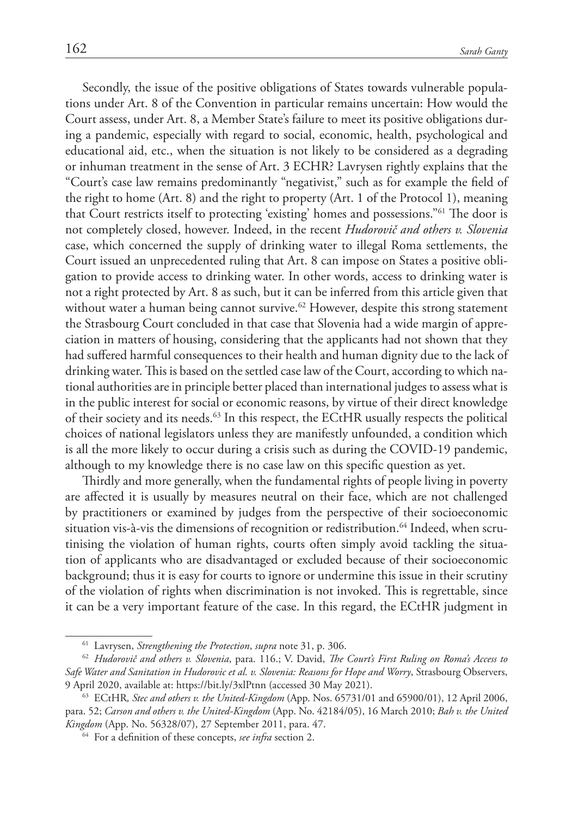Secondly, the issue of the positive obligations of States towards vulnerable populations under Art. 8 of the Convention in particular remains uncertain: How would the Court assess, under Art. 8, a Member State's failure to meet its positive obligations during a pandemic, especially with regard to social, economic, health, psychological and educational aid, etc., when the situation is not likely to be considered as a degrading or inhuman treatment in the sense of Art. 3 ECHR? Lavrysen rightly explains that the "Court's case law remains predominantly "negativist," such as for example the field of the right to home (Art. 8) and the right to property (Art. 1 of the Protocol 1), meaning that Court restricts itself to protecting 'existing' homes and possessions."61 The door is not completely closed, however. Indeed, in the recent *Hudorovič and others v. Slovenia* case, which concerned the supply of drinking water to illegal Roma settlements, the Court issued an unprecedented ruling that Art. 8 can impose on States a positive obligation to provide access to drinking water. In other words, access to drinking water is not a right protected by Art. 8 as such, but it can be inferred from this article given that without water a human being cannot survive.<sup>62</sup> However, despite this strong statement the Strasbourg Court concluded in that case that Slovenia had a wide margin of appreciation in matters of housing, considering that the applicants had not shown that they had suffered harmful consequences to their health and human dignity due to the lack of drinking water. This is based on the settled case law of the Court, according to which national authorities are in principle better placed than international judges to assess what is in the public interest for social or economic reasons, by virtue of their direct knowledge of their society and its needs.<sup>63</sup> In this respect, the ECtHR usually respects the political choices of national legislators unless they are manifestly unfounded, a condition which is all the more likely to occur during a crisis such as during the COVID-19 pandemic, although to my knowledge there is no case law on this specific question as yet.

Thirdly and more generally, when the fundamental rights of people living in poverty are affected it is usually by measures neutral on their face, which are not challenged by practitioners or examined by judges from the perspective of their socioeconomic situation vis-à-vis the dimensions of recognition or redistribution.<sup>64</sup> Indeed, when scrutinising the violation of human rights, courts often simply avoid tackling the situation of applicants who are disadvantaged or excluded because of their socioeconomic background; thus it is easy for courts to ignore or undermine this issue in their scrutiny of the violation of rights when discrimination is not invoked. This is regrettable, since it can be a very important feature of the case. In this regard, the ECtHR judgment in

<sup>61</sup> Lavrysen, *Strengthening the Protection*, *supra* note 31, p. 306.

<sup>62</sup> *Hudorovič and others v. Slovenia*, para. 116.; V. David, *The Court's First Ruling on Roma's Access to Safe Water and Sanitation in Hudorovic et al. v. Slovenia: Reasons for Hope and Worry*, Strasbourg Observers, 9 April 2020, available at: https://bit.ly/3xlPtnn (accessed 30 May 2021).

<sup>63</sup> ECtHR*, Stec and others v. the United-Kingdom* (App. Nos. 65731/01 and 65900/01), 12 April 2006, para. 52; *Carson and others v. the United-Kingdom* (App. No. 42184/05), 16 March 2010; *Bah v. the United Kingdom* (App. No. 56328/07), 27 September 2011, para. 47.

<sup>64</sup> For a definition of these concepts, *see infra* section 2.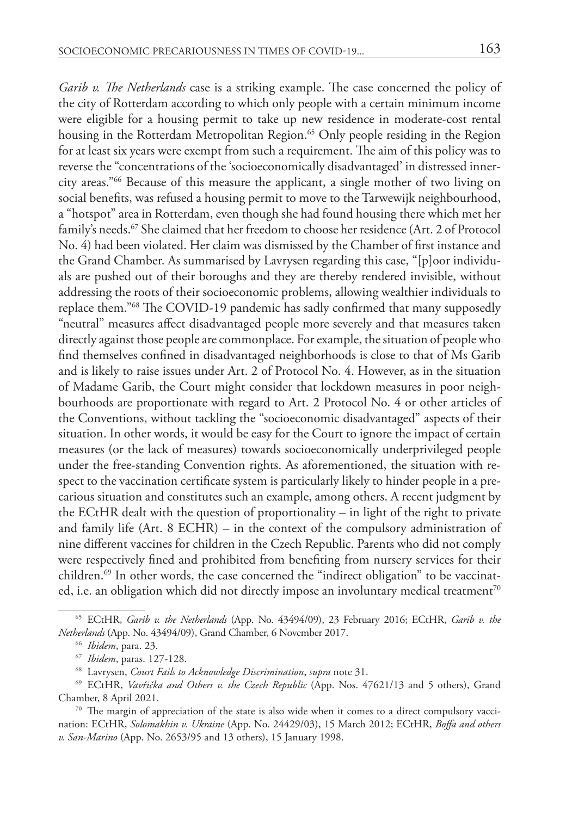*Garib v. The Netherlands* case is a striking example. The case concerned the policy of the city of Rotterdam according to which only people with a certain minimum income were eligible for a housing permit to take up new residence in moderate-cost rental housing in the Rotterdam Metropolitan Region.<sup>65</sup> Only people residing in the Region for at least six years were exempt from such a requirement. The aim of this policy was to reverse the "concentrations of the 'socioeconomically disadvantaged' in distressed innercity areas."66 Because of this measure the applicant, a single mother of two living on social benefits, was refused a housing permit to move to the Tarwewijk neighbourhood, a "hotspot" area in Rotterdam, even though she had found housing there which met her family's needs.<sup>67</sup> She claimed that her freedom to choose her residence (Art. 2 of Protocol No. 4) had been violated. Her claim was dismissed by the Chamber of first instance and the Grand Chamber. As summarised by Lavrysen regarding this case, "[p]oor individuals are pushed out of their boroughs and they are thereby rendered invisible, without addressing the roots of their socioeconomic problems, allowing wealthier individuals to replace them."68 The COVID-19 pandemic has sadly confirmed that many supposedly "neutral" measures affect disadvantaged people more severely and that measures taken directly against those people are commonplace. For example, the situation of people who find themselves confined in disadvantaged neighborhoods is close to that of Ms Garib and is likely to raise issues under Art. 2 of Protocol No. 4. However, as in the situation of Madame Garib, the Court might consider that lockdown measures in poor neigh-

bourhoods are proportionate with regard to Art. 2 Protocol No. 4 or other articles of the Conventions, without tackling the "socioeconomic disadvantaged" aspects of their situation. In other words, it would be easy for the Court to ignore the impact of certain measures (or the lack of measures) towards socioeconomically underprivileged people under the free-standing Convention rights. As aforementioned, the situation with respect to the vaccination certificate system is particularly likely to hinder people in a precarious situation and constitutes such an example, among others. A recent judgment by the ECtHR dealt with the question of proportionality – in light of the right to private and family life (Art. 8 ECHR) – in the context of the compulsory administration of nine different vaccines for children in the Czech Republic. Parents who did not comply were respectively fined and prohibited from benefiting from nursery services for their children.<sup>69</sup> In other words, the case concerned the "indirect obligation" to be vaccinated, i.e. an obligation which did not directly impose an involuntary medical treatment<sup>70</sup>

<sup>65</sup> ECtHR, *Garib v. the Netherlands* (App. No. 43494/09), 23 February 2016; ECtHR, *Garib v. the Netherlands* (App. No. 43494/09), Grand Chamber, 6 November 2017.

<sup>66</sup> *Ibidem*, para. 23.

<sup>67</sup> *Ibidem*, paras. 127-128.

<sup>68</sup> Lavrysen, *Court Fails to Acknowledge Discrimination*, *supra* note 31.

<sup>69</sup> ECtHR, *Vavřička and Others v. the Czech Republic* (App. Nos. 47621/13 and 5 others), Grand Chamber, 8 April 2021.

<sup>70</sup> The margin of appreciation of the state is also wide when it comes to a direct compulsory vaccination: ECtHR, *Solomakhin v. Ukraine* (App. No. 24429/03), 15 March 2012; ECtHR, *Boffa and others v. San-Marino* (App. No. 2653/95 and 13 others), 15 January 1998.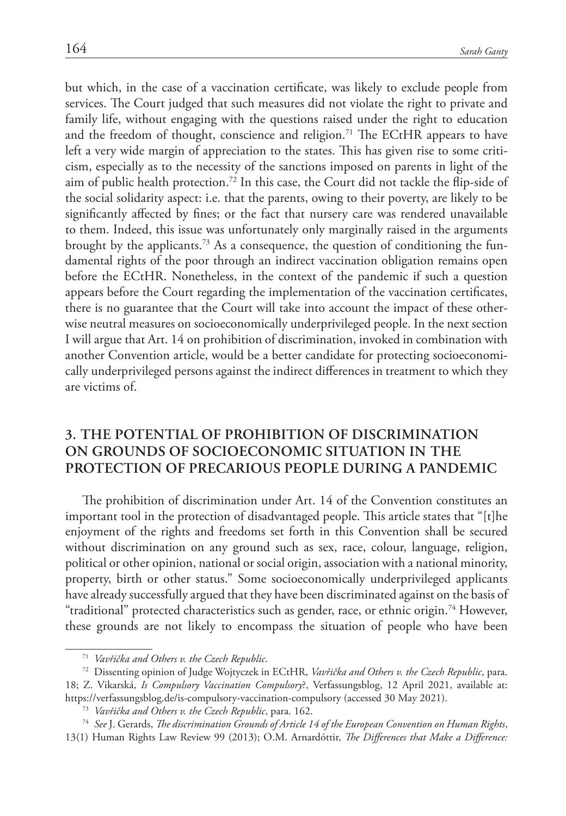but which, in the case of a vaccination certificate, was likely to exclude people from services. The Court judged that such measures did not violate the right to private and family life, without engaging with the questions raised under the right to education and the freedom of thought, conscience and religion.<sup>71</sup> The ECtHR appears to have left a very wide margin of appreciation to the states. This has given rise to some criticism, especially as to the necessity of the sanctions imposed on parents in light of the aim of public health protection.<sup>72</sup> In this case, the Court did not tackle the flip-side of the social solidarity aspect: i.e. that the parents, owing to their poverty, are likely to be significantly affected by fines; or the fact that nursery care was rendered unavailable to them. Indeed, this issue was unfortunately only marginally raised in the arguments brought by the applicants.73 As a consequence, the question of conditioning the fundamental rights of the poor through an indirect vaccination obligation remains open before the ECtHR. Nonetheless, in the context of the pandemic if such a question appears before the Court regarding the implementation of the vaccination certificates, there is no guarantee that the Court will take into account the impact of these otherwise neutral measures on socioeconomically underprivileged people. In the next section I will argue that Art. 14 on prohibition of discrimination, invoked in combination with another Convention article, would be a better candidate for protecting socioeconomically underprivileged persons against the indirect differences in treatment to which they are victims of.

# **3. The potential of prohibition of discrimination on grounds of socioeconomic situation in the protection of precarious people during a pandemic**

The prohibition of discrimination under Art. 14 of the Convention constitutes an important tool in the protection of disadvantaged people. This article states that "[t]he enjoyment of the rights and freedoms set forth in this Convention shall be secured without discrimination on any ground such as sex, race, colour, language, religion, political or other opinion, national or social origin, association with a national minority, property, birth or other status." Some socioeconomically underprivileged applicants have already successfully argued that they have been discriminated against on the basis of "traditional" protected characteristics such as gender, race, or ethnic origin.74 However, these grounds are not likely to encompass the situation of people who have been

<sup>71</sup> *Vavřička and Others v. the Czech Republic*.

<sup>72</sup> Dissenting opinion of Judge Wojtyczek in ECtHR, *Vavřička and Others v. the Czech Republic*, para.

<sup>18;</sup> Z. Vikarská, *Is Compulsory Vaccination Compulsory*?, Verfassungsblog, 12 April 2021, available at: <https://verfassungsblog.de/is-compulsory-vaccination-compulsory>(accessed 30 May 2021).

<sup>73</sup> *Vavřička and Others v. the Czech Republic*, para. 162.

<sup>74</sup> *See* J. Gerards, *The discrimination Grounds of Article 14 of the European Convention on Human Rights*, 13(1) Human Rights Law Review 99 (2013); O.M. Arnardóttir, *The Differences that Make a Difference:*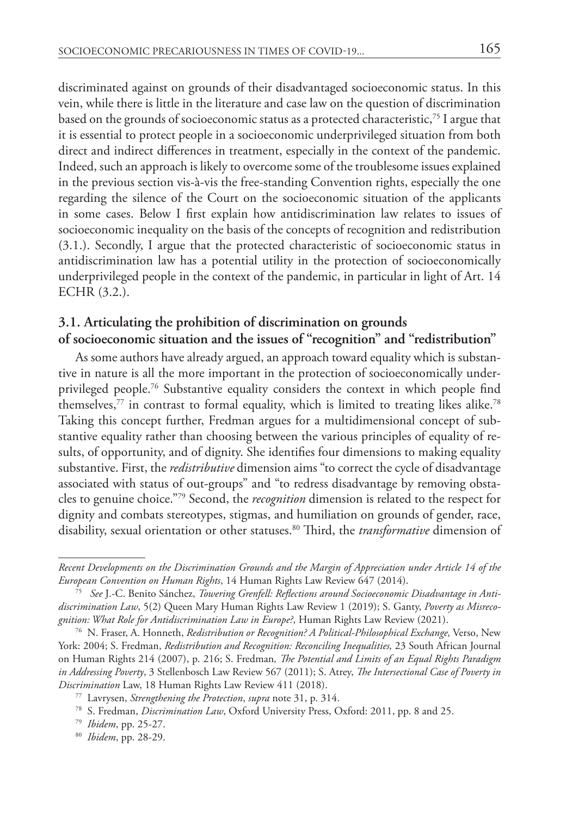discriminated against on grounds of their disadvantaged socioeconomic status. In this vein, while there is little in the literature and case law on the question of discrimination based on the grounds of socioeconomic status as a protected characteristic,75 I argue that it is essential to protect people in a socioeconomic underprivileged situation from both direct and indirect differences in treatment, especially in the context of the pandemic. Indeed, such an approach is likely to overcome some of the troublesome issues explained in the previous section vis-à-vis the free-standing Convention rights, especially the one regarding the silence of the Court on the socioeconomic situation of the applicants in some cases. Below I first explain how antidiscrimination law relates to issues of socioeconomic inequality on the basis of the concepts of recognition and redistribution (3.1.). Secondly, I argue that the protected characteristic of socioeconomic status in antidiscrimination law has a potential utility in the protection of socioeconomically underprivileged people in the context of the pandemic, in particular in light of Art. 14 ECHR (3.2.).

# **3.1. Articulating the prohibition of discrimination on grounds of socioeconomic situation and the issues of "recognition" and "redistribution"**

As some authors have already argued, an approach toward equality which is substantive in nature is all the more important in the protection of socioeconomically underprivileged people.76 Substantive equality considers the context in which people find themselves,<sup>77</sup> in contrast to formal equality, which is limited to treating likes alike.<sup>78</sup> Taking this concept further, Fredman argues for a multidimensional concept of substantive equality rather than choosing between the various principles of equality of results, of opportunity, and of dignity. She identifies four dimensions to making equality substantive. First, the *redistributive* dimension aims "to correct the cycle of disadvantage associated with status of out-groups" and "to redress disadvantage by removing obstacles to genuine choice."79 Second, the *recognition* dimension is related to the respect for dignity and combats stereotypes, stigmas, and humiliation on grounds of gender, race, disability, sexual orientation or other statuses.80 Third, the *transformative* dimension of

*Recent Developments on the Discrimination Grounds and the Margin of Appreciation under Article 14 of the European Convention on Human Rights*, 14 Human Rights Law Review 647 (2014).

<sup>75</sup> *See* J.-C. Benito Sánchez, *Towering Grenfell: Reflections around Socioeconomic Disadvantage in Antidiscrimination Law*, 5(2) Queen Mary Human Rights Law Review 1 (2019); S. Ganty, *Poverty as Misrecognition: What Role for Antidiscrimination Law in Europe?*, Human Rights Law Review (2021). 76 N. Fraser, A. Honneth, *Redistribution or Recognition? A Political-Philosophical Exchange,* Verso, New

York: 2004; S. Fredman, *Redistribution and Recognition: Reconciling Inequalities,* 23 South African Journal on Human Rights 214 (2007), p. 216; S. Fredman*, The Potential and Limits of an Equal Rights Paradigm in Addressing Poverty*, 3 Stellenbosch Law Review 567 (2011); S. Atrey, *The Intersectional Case of Poverty in Discrimination* Law, 18 Human Rights Law Review 411 (2018).

<sup>77</sup> Lavrysen, *Strengthening the Protection*, *supra* note 31, p. 314.

<sup>78</sup> S. Fredman, *Discrimination Law*, Oxford University Press, Oxford: 2011, pp. 8 and 25.

<sup>79</sup> *Ibidem*, pp. 25-27. 80 *Ibidem*, pp. 28-29.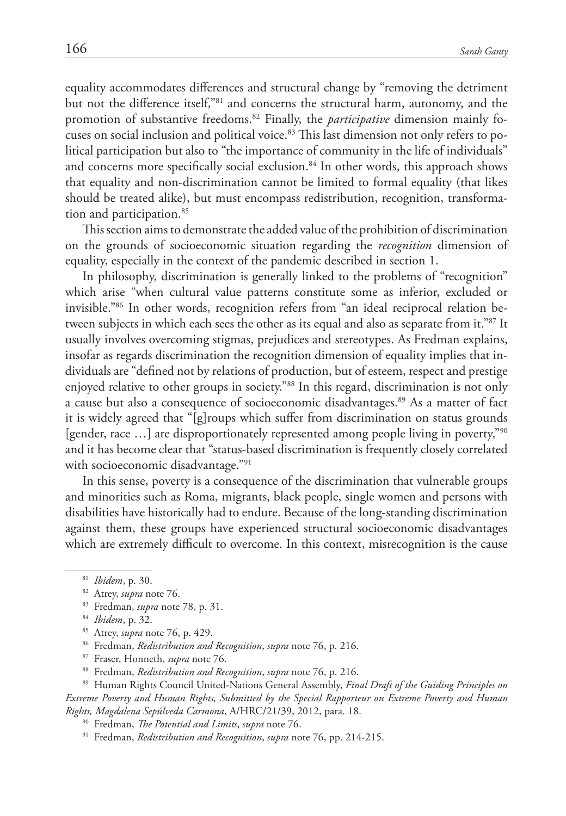equality accommodates differences and structural change by "removing the detriment but not the difference itself,"81 and concerns the structural harm, autonomy, and the promotion of substantive freedoms.82 Finally, the *participative* dimension mainly focuses on social inclusion and political voice.<sup>83</sup> This last dimension not only refers to political participation but also to "the importance of community in the life of individuals" and concerns more specifically social exclusion.<sup>84</sup> In other words, this approach shows that equality and non-discrimination cannot be limited to formal equality (that likes should be treated alike), but must encompass redistribution, recognition, transformation and participation.<sup>85</sup>

This section aims to demonstrate the added value of the prohibition of discrimination on the grounds of socioeconomic situation regarding the *recognition* dimension of equality, especially in the context of the pandemic described in section 1.

In philosophy, discrimination is generally linked to the problems of "recognition" which arise "when cultural value patterns constitute some as inferior, excluded or invisible."86 In other words, recognition refers from "an ideal reciprocal relation between subjects in which each sees the other as its equal and also as separate from it."87 It usually involves overcoming stigmas, prejudices and stereotypes. As Fredman explains, insofar as regards discrimination the recognition dimension of equality implies that individuals are "defined not by relations of production, but of esteem, respect and prestige enjoyed relative to other groups in society."88 In this regard, discrimination is not only a cause but also a consequence of socioeconomic disadvantages.89 As a matter of fact it is widely agreed that "[g]roups which suffer from discrimination on status grounds [gender, race …] are disproportionately represented among people living in poverty,"90 and it has become clear that "status-based discrimination is frequently closely correlated with socioeconomic disadvantage."<sup>91</sup>

In this sense, poverty is a consequence of the discrimination that vulnerable groups and minorities such as Roma, migrants, black people, single women and persons with disabilities have historically had to endure. Because of the long-standing discrimination against them, these groups have experienced structural socioeconomic disadvantages which are extremely difficult to overcome. In this context, misrecognition is the cause

- 85 Atrey, *supra* note 76, p. 429.
- 86 Fredman, *Redistribution and Recognition*, *supra* note 76, p. 216.
- 87 Fraser, Honneth, *supra* note 76.
- 88 Fredman, *Redistribution and Recognition*, *supra* note 76, p. 216.

<sup>89</sup> Human Rights Council United-Nations General Assembly, *Final Draft of the Guiding Principles on Extreme Poverty and Human Rights, Submitted by the Special Rapporteur on Extreme Poverty and Human Rights, Magdalena Sepúlveda Carmona*, A/HRC/21/39, 2012, para. 18.

- 90 Fredman, *The Potential and Limits*, *supra* note 76.
- 91 Fredman, *Redistribution and Recognition*, *supra* note 76, pp. 214-215.

<sup>81</sup> *Ibidem*, p. 30. 82 Atrey, *supra* note 76.

<sup>83</sup> Fredman, *supra* note 78, p. 31.

<sup>84</sup> *Ibidem*, p. 32.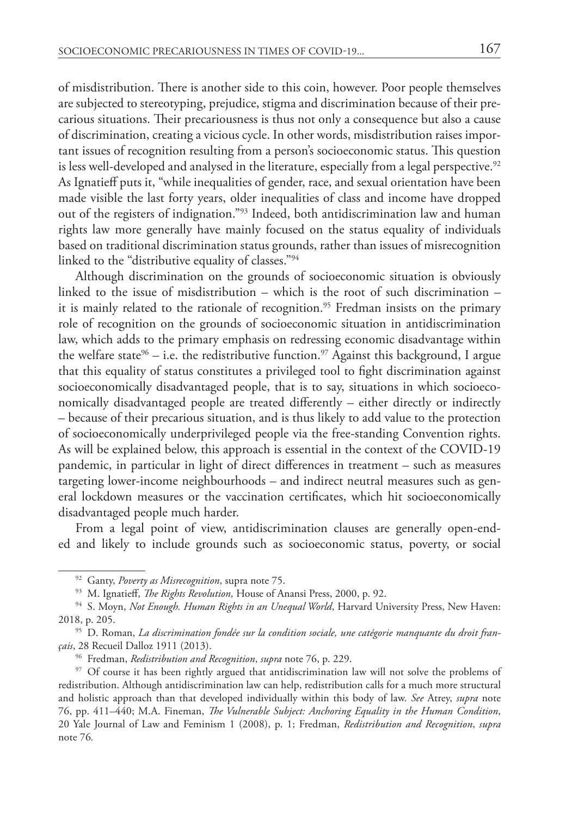of misdistribution. There is another side to this coin, however. Poor people themselves are subjected to stereotyping, prejudice, stigma and discrimination because of their precarious situations. Their precariousness is thus not only a consequence but also a cause of discrimination, creating a vicious cycle. In other words, misdistribution raises important issues of recognition resulting from a person's socioeconomic status. This question is less well-developed and analysed in the literature, especially from a legal perspective.<sup>92</sup> As Ignatieff puts it, "while inequalities of gender, race, and sexual orientation have been made visible the last forty years, older inequalities of class and income have dropped out of the registers of indignation."93 Indeed, both antidiscrimination law and human rights law more generally have mainly focused on the status equality of individuals based on traditional discrimination status grounds, rather than issues of misrecognition linked to the "distributive equality of classes."94

Although discrimination on the grounds of socioeconomic situation is obviously linked to the issue of misdistribution – which is the root of such discrimination – it is mainly related to the rationale of recognition.<sup>95</sup> Fredman insists on the primary role of recognition on the grounds of socioeconomic situation in antidiscrimination law, which adds to the primary emphasis on redressing economic disadvantage within the welfare state<sup>96</sup> – i.e. the redistributive function.<sup>97</sup> Against this background, I argue that this equality of status constitutes a privileged tool to fight discrimination against socioeconomically disadvantaged people, that is to say, situations in which socioeconomically disadvantaged people are treated differently – either directly or indirectly – because of their precarious situation, and is thus likely to add value to the protection of socioeconomically underprivileged people via the free-standing Convention rights. As will be explained below, this approach is essential in the context of the COVID-19 pandemic, in particular in light of direct differences in treatment – such as measures targeting lower-income neighbourhoods – and indirect neutral measures such as general lockdown measures or the vaccination certificates, which hit socioeconomically disadvantaged people much harder.

From a legal point of view, antidiscrimination clauses are generally open-ended and likely to include grounds such as socioeconomic status, poverty, or social

<sup>92</sup> Ganty, *Poverty as Misrecognition*, supra note 75.

<sup>93</sup> M. Ignatieff, *The Rights Revolution,* House of Anansi Press, 2000, p. 92.

<sup>94</sup> S. Moyn, *Not Enough. Human Rights in an Unequal World*, Harvard University Press, New Haven: 2018, p. 205.

<sup>95</sup> D. Roman, *La discrimination fondée sur la condition sociale, une catégorie manquante du droit français*, 28 Recueil Dalloz 1911 (2013).

<sup>96</sup> Fredman, *Redistribution and Recognition*, *supra* note 76, p. 229.

<sup>&</sup>lt;sup>97</sup> Of course it has been rightly argued that antidiscrimination law will not solve the problems of redistribution. Although antidiscrimination law can help, redistribution calls for a much more structural and holistic approach than that developed individually within this body of law. *See* Atrey, *supra* note 76, pp. 411–440; M.A. Fineman, *The Vulnerable Subject: Anchoring Equality in the Human Condition*, 20 Yale Journal of Law and Feminism 1 (2008), p. 1; Fredman, *Redistribution and Recognition*, *supra* note 76*.*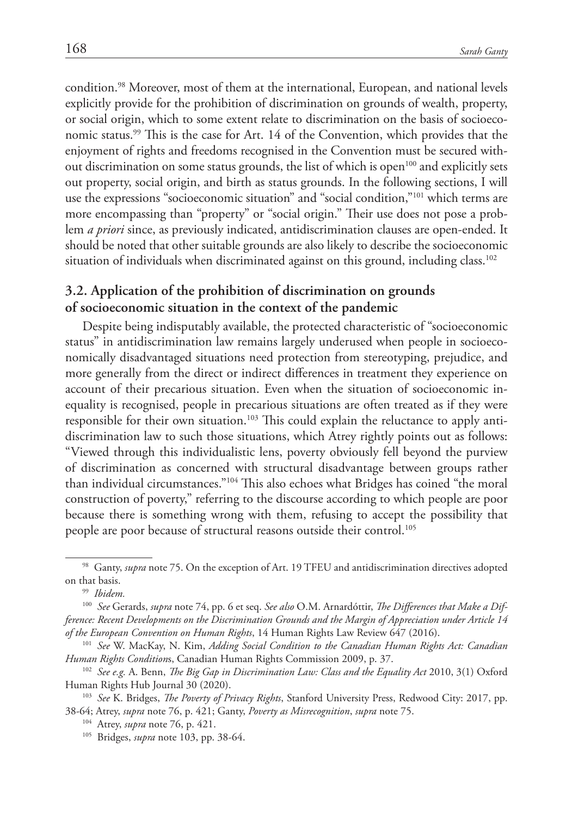condition.98 Moreover, most of them at the international, European, and national levels explicitly provide for the prohibition of discrimination on grounds of wealth, property, or social origin, which to some extent relate to discrimination on the basis of socioeconomic status.99 This is the case for Art. 14 of the Convention, which provides that the enjoyment of rights and freedoms recognised in the Convention must be secured without discrimination on some status grounds, the list of which is open<sup>100</sup> and explicitly sets out property, social origin, and birth as status grounds. In the following sections, I will use the expressions "socioeconomic situation" and "social condition,"101 which terms are more encompassing than "property" or "social origin." Their use does not pose a problem *a priori* since, as previously indicated, antidiscrimination clauses are open-ended. It should be noted that other suitable grounds are also likely to describe the socioeconomic situation of individuals when discriminated against on this ground, including class.<sup>102</sup>

## **3.2. Application of the prohibition of discrimination on grounds of socioeconomic situation in the context of the pandemic**

Despite being indisputably available, the protected characteristic of "socioeconomic status" in antidiscrimination law remains largely underused when people in socioeconomically disadvantaged situations need protection from stereotyping, prejudice, and more generally from the direct or indirect differences in treatment they experience on account of their precarious situation. Even when the situation of socioeconomic inequality is recognised, people in precarious situations are often treated as if they were responsible for their own situation.<sup>103</sup> This could explain the reluctance to apply antidiscrimination law to such those situations, which Atrey rightly points out as follows: "Viewed through this individualistic lens, poverty obviously fell beyond the purview of discrimination as concerned with structural disadvantage between groups rather than individual circumstances."104 This also echoes what Bridges has coined "the moral construction of poverty," referring to the discourse according to which people are poor because there is something wrong with them, refusing to accept the possibility that people are poor because of structural reasons outside their control.105

<sup>98</sup> Ganty, *supra* note 75. On the exception of Art. 19 TFEU and antidiscrimination directives adopted on that basis.

<sup>99</sup> *Ibidem.*

<sup>100</sup> *See* Gerards, *supra* note 74, pp. 6 et seq. *See also* O.M. Arnardóttir, *The Differences that Make a Difference: Recent Developments on the Discrimination Grounds and the Margin of Appreciation under Article 14 of the European Convention on Human Rights*, 14 Human Rights Law Review 647 (2016).

<sup>101</sup> *See* W. MacKay, N. Kim, *Adding Social Condition to the Canadian Human Rights Act: Canadian Human Rights Condition*s, Canadian Human Rights Commission 2009, p. 37.

<sup>102</sup> *See e.g.* A. Benn, *The Big Gap in Discrimination Law: Class and the Equality Act* 2010, 3(1) Oxford Human Rights Hub Journal 30 (2020).

<sup>103</sup> *See* K. Bridges, *The Poverty of Privacy Rights*, Stanford University Press, Redwood City: 2017, pp. 38-64; Atrey, *supra* note 76, p. 421; Ganty, *Poverty as Misrecognition*, *supra* note 75.

<sup>104</sup> Atrey, *supra* note 76, p. 421.

<sup>105</sup> Bridges, *supra* note 103, pp. 38-64.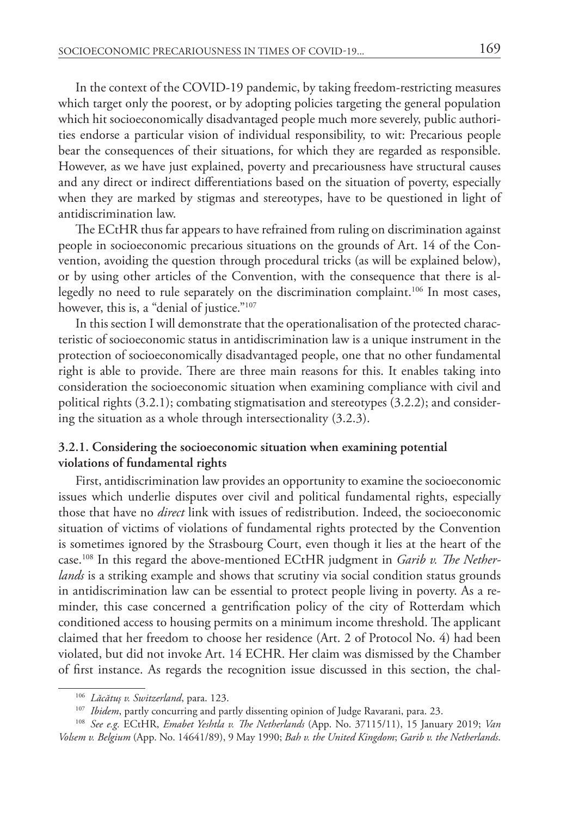In the context of the COVID-19 pandemic, by taking freedom-restricting measures which target only the poorest, or by adopting policies targeting the general population which hit socioeconomically disadvantaged people much more severely, public authorities endorse a particular vision of individual responsibility, to wit: Precarious people bear the consequences of their situations, for which they are regarded as responsible. However, as we have just explained, poverty and precariousness have structural causes and any direct or indirect differentiations based on the situation of poverty, especially when they are marked by stigmas and stereotypes, have to be questioned in light of antidiscrimination law.

The ECtHR thus far appears to have refrained from ruling on discrimination against people in socioeconomic precarious situations on the grounds of Art. 14 of the Convention, avoiding the question through procedural tricks (as will be explained below), or by using other articles of the Convention, with the consequence that there is allegedly no need to rule separately on the discrimination complaint.<sup>106</sup> In most cases, however, this is, a "denial of justice."<sup>107</sup>

In this section I will demonstrate that the operationalisation of the protected characteristic of socioeconomic status in antidiscrimination law is a unique instrument in the protection of socioeconomically disadvantaged people, one that no other fundamental right is able to provide. There are three main reasons for this. It enables taking into consideration the socioeconomic situation when examining compliance with civil and political rights (3.2.1); combating stigmatisation and stereotypes (3.2.2); and considering the situation as a whole through intersectionality (3.2.3).

### **3.2.1. Considering the socioeconomic situation when examining potential violations of fundamental rights**

First, antidiscrimination law provides an opportunity to examine the socioeconomic issues which underlie disputes over civil and political fundamental rights, especially those that have no *direct* link with issues of redistribution. Indeed, the socioeconomic situation of victims of violations of fundamental rights protected by the Convention is sometimes ignored by the Strasbourg Court, even though it lies at the heart of the case.108 In this regard the above-mentioned ECtHR judgment in *Garib v. The Netherlands* is a striking example and shows that scrutiny via social condition status grounds in antidiscrimination law can be essential to protect people living in poverty. As a reminder, this case concerned a gentrification policy of the city of Rotterdam which conditioned access to housing permits on a minimum income threshold. The applicant claimed that her freedom to choose her residence (Art. 2 of Protocol No. 4) had been violated, but did not invoke Art. 14 ECHR. Her claim was dismissed by the Chamber of first instance. As regards the recognition issue discussed in this section, the chal-

<sup>106</sup> *Lăcătuş v. Switzerland*, para. 123.

<sup>&</sup>lt;sup>107</sup> *Ibidem*, partly concurring and partly dissenting opinion of Judge Ravarani, para. 23.

<sup>108</sup> *See e.g.* ECtHR, *Emabet Yeshtla v. The Netherlands* (App. No. 37115/11), 15 January 2019; *Van Volsem v. Belgium* (App. No. 14641/89), 9 May 1990; *Bah v. the United Kingdom*; *Garib v. the Netherlands*.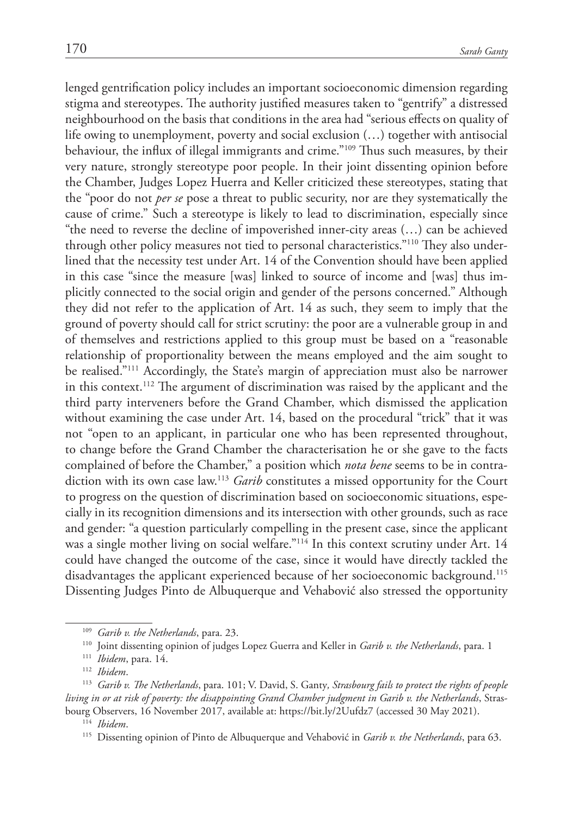lenged gentrification policy includes an important socioeconomic dimension regarding stigma and stereotypes. The authority justified measures taken to "gentrify" a distressed neighbourhood on the basis that conditions in the area had "serious effects on quality of life owing to unemployment, poverty and social exclusion (…) together with antisocial behaviour, the influx of illegal immigrants and crime."109 Thus such measures, by their very nature, strongly stereotype poor people. In their joint dissenting opinion before the Chamber, Judges Lopez Huerra and Keller criticized these stereotypes, stating that the "poor do not *per se* pose a threat to public security, nor are they systematically the cause of crime." Such a stereotype is likely to lead to discrimination, especially since "the need to reverse the decline of impoverished inner-city areas  $(...)$  can be achieved through other policy measures not tied to personal characteristics."110 They also underlined that the necessity test under Art. 14 of the Convention should have been applied in this case "since the measure [was] linked to source of income and [was] thus implicitly connected to the social origin and gender of the persons concerned." Although they did not refer to the application of Art. 14 as such, they seem to imply that the ground of poverty should call for strict scrutiny: the poor are a vulnerable group in and of themselves and restrictions applied to this group must be based on a "reasonable relationship of proportionality between the means employed and the aim sought to be realised."<sup>111</sup> Accordingly, the State's margin of appreciation must also be narrower in this context.112 The argument of discrimination was raised by the applicant and the third party interveners before the Grand Chamber, which dismissed the application without examining the case under Art. 14, based on the procedural "trick" that it was not "open to an applicant, in particular one who has been represented throughout, to change before the Grand Chamber the characterisation he or she gave to the facts complained of before the Chamber," a position which *nota bene* seems to be in contradiction with its own case law.113 *Garib* constitutes a missed opportunity for the Court to progress on the question of discrimination based on socioeconomic situations, especially in its recognition dimensions and its intersection with other grounds, such as race and gender: "a question particularly compelling in the present case, since the applicant was a single mother living on social welfare."114 In this context scrutiny under Art. 14 could have changed the outcome of the case, since it would have directly tackled the disadvantages the applicant experienced because of her socioeconomic background.115 Dissenting Judges Pinto de Albuquerque and Vehabović also stressed the opportunity

<sup>109</sup> *Garib v. the Netherlands*, para. 23.

<sup>110</sup> Joint dissenting opinion of judges Lopez Guerra and Keller in *Garib v. the Netherlands*, para. 1

<sup>111</sup> *Ibidem*, para. 14.

<sup>112</sup> *Ibidem*.

<sup>113</sup> *Garib v. The Netherlands*, para. 101; V. David, S. Ganty*, Strasbourg fails to protect the rights of people living in or at risk of poverty: the disappointing Grand Chamber judgment in Garib v. the Netherlands*, Strasbourg Observers, 16 November 2017, available at: https://bit.ly/2Uufdz7 (accessed 30 May 2021).

<sup>&</sup>lt;sup>115</sup> Dissenting opinion of Pinto de Albuquerque and Vehabović in *Garib v. the Netherlands*, para 63.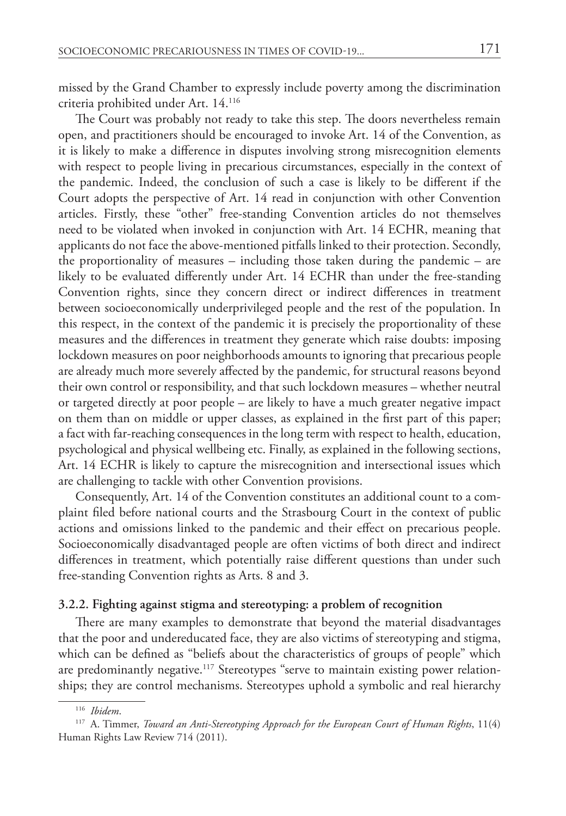missed by the Grand Chamber to expressly include poverty among the discrimination criteria prohibited under Art. 14.116

The Court was probably not ready to take this step. The doors nevertheless remain open, and practitioners should be encouraged to invoke Art. 14 of the Convention, as it is likely to make a difference in disputes involving strong misrecognition elements with respect to people living in precarious circumstances, especially in the context of the pandemic. Indeed, the conclusion of such a case is likely to be different if the Court adopts the perspective of Art. 14 read in conjunction with other Convention articles. Firstly, these "other" free-standing Convention articles do not themselves need to be violated when invoked in conjunction with Art. 14 ECHR, meaning that applicants do not face the above-mentioned pitfalls linked to their protection. Secondly, the proportionality of measures – including those taken during the pandemic – are likely to be evaluated differently under Art. 14 ECHR than under the free-standing Convention rights, since they concern direct or indirect differences in treatment between socioeconomically underprivileged people and the rest of the population. In this respect, in the context of the pandemic it is precisely the proportionality of these measures and the differences in treatment they generate which raise doubts: imposing lockdown measures on poor neighborhoods amounts to ignoring that precarious people are already much more severely affected by the pandemic, for structural reasons beyond their own control or responsibility, and that such lockdown measures – whether neutral or targeted directly at poor people – are likely to have a much greater negative impact on them than on middle or upper classes, as explained in the first part of this paper; a fact with far-reaching consequences in the long term with respect to health, education, psychological and physical wellbeing etc. Finally, as explained in the following sections, Art. 14 ECHR is likely to capture the misrecognition and intersectional issues which are challenging to tackle with other Convention provisions.

Consequently, Art. 14 of the Convention constitutes an additional count to a complaint filed before national courts and the Strasbourg Court in the context of public actions and omissions linked to the pandemic and their effect on precarious people. Socioeconomically disadvantaged people are often victims of both direct and indirect differences in treatment, which potentially raise different questions than under such free-standing Convention rights as Arts. 8 and 3.

#### **3.2.2. Fighting against stigma and stereotyping: a problem of recognition**

There are many examples to demonstrate that beyond the material disadvantages that the poor and undereducated face, they are also victims of stereotyping and stigma, which can be defined as "beliefs about the characteristics of groups of people" which are predominantly negative.<sup>117</sup> Stereotypes "serve to maintain existing power relationships; they are control mechanisms. Stereotypes uphold a symbolic and real hierarchy

<sup>116</sup> *Ibidem*.

<sup>117</sup> A. Timmer, *Toward an Anti-Stereotyping Approach for the European Court of Human Rights*, 11(4) Human Rights Law Review 714 (2011).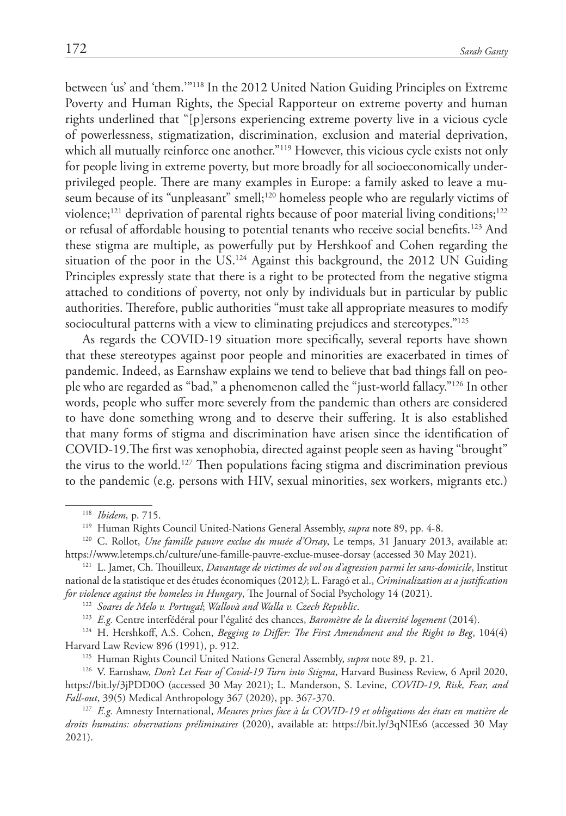between 'us' and 'them.'"118 In the 2012 United Nation Guiding Principles on Extreme Poverty and Human Rights, the Special Rapporteur on extreme poverty and human rights underlined that "[p]ersons experiencing extreme poverty live in a vicious cycle of powerlessness, stigmatization, discrimination, exclusion and material deprivation, which all mutually reinforce one another."<sup>119</sup> However, this vicious cycle exists not only for people living in extreme poverty, but more broadly for all socioeconomically underprivileged people. There are many examples in Europe: a family asked to leave a museum because of its "unpleasant" smell;<sup>120</sup> homeless people who are regularly victims of violence;<sup>121</sup> deprivation of parental rights because of poor material living conditions;<sup>122</sup> or refusal of affordable housing to potential tenants who receive social benefits.123 And these stigma are multiple, as powerfully put by Hershkoof and Cohen regarding the situation of the poor in the US. <sup>124</sup> Against this background, the 2012 UN Guiding Principles expressly state that there is a right to be protected from the negative stigma attached to conditions of poverty, not only by individuals but in particular by public authorities. Therefore, public authorities "must take all appropriate measures to modify sociocultural patterns with a view to eliminating prejudices and stereotypes."<sup>125</sup>

As regards the COVID-19 situation more specifically, several reports have shown that these stereotypes against poor people and minorities are exacerbated in times of pandemic. Indeed, as Earnshaw explains we tend to believe that bad things fall on people who are regarded as "bad," a phenomenon called the "just-world fallacy."126 In other words, people who suffer more severely from the pandemic than others are considered to have done something wrong and to deserve their suffering. It is also established that many forms of stigma and discrimination have arisen since the identification of COVID-19.The first was xenophobia, directed against people seen as having "brought" the virus to the world.<sup>127</sup> Then populations facing stigma and discrimination previous to the pandemic (e.g. persons with HIV, sexual minorities, sex workers, migrants etc.)

<sup>122</sup> *Soares de Melo v. Portugal*; *Wallovà and Walla v. Czech Republic*.

<sup>123</sup> *E.g.* Centre interfédéral pour l'égalité des chances, *Baromètre de la diversité logement* (2014).

<sup>124</sup> H. Hershkoff, A.S. Cohen, *Begging to Differ: The First Amendment and the Right to Beg*, 104(4) Harvard Law Review 896 (1991), p. 912.

<sup>125</sup> Human Rights Council United Nations General Assembly, *supra* note 89*,* p. 21.

126 V. Earnshaw, *Don't Let Fear of Covid-19 Turn into Stigma*, Harvard Business Review, 6 April 2020, <https://bit.ly/3jPDD0O>(accessed 30 May 2021); L. Manderson, S. Levine, *COVID-19, Risk, Fear, and Fall-out*, 39(5) Medical Anthropology 367 (2020), pp. 367-370.

<sup>127</sup> *E.g.* Amnesty International, *Mesures prises face à la COVID-19 et obligations des états en matière de droits humains: observations préliminaires* (2020), available at: https://bit.ly/3qNIEs6 (accessed 30 May 2021).

<sup>118</sup> *Ibidem,* p. 715.

<sup>119</sup> Human Rights Council United-Nations General Assembly, *supra* note 89, pp. 4-8.

<sup>120</sup> C. Rollot, *Une famille pauvre exclue du musée d'Orsay*, Le temps, 31 January 2013, available at: <https://www.letemps.ch/culture/une-famille-pauvre-exclue-musee-dorsay>(accessed 30 May 2021).

<sup>121</sup> L. Jamet, Ch. Thouilleux, *Davantage de victimes de vol ou d'agression parmi les sans-domicile*, Institut national de la statistique et des études économiques (2012*)*; L. Faragó et al., *Criminalization as a justification for violence against the homeless in Hungary*, The Journal of Social Psychology 14 (2021).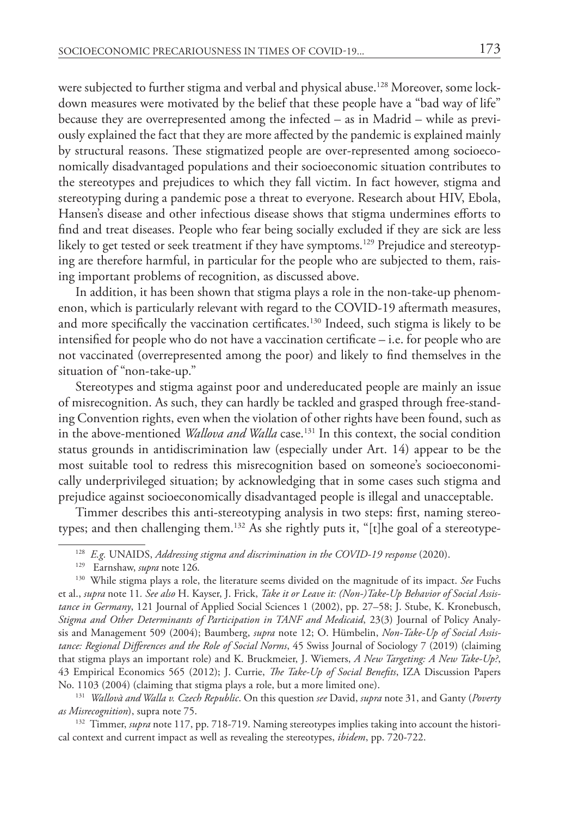were subjected to further stigma and verbal and physical abuse.<sup>128</sup> Moreover, some lockdown measures were motivated by the belief that these people have a "bad way of life" because they are overrepresented among the infected – as in Madrid – while as previously explained the fact that they are more affected by the pandemic is explained mainly by structural reasons. These stigmatized people are over-represented among socioeconomically disadvantaged populations and their socioeconomic situation contributes to the stereotypes and prejudices to which they fall victim. In fact however, stigma and stereotyping during a pandemic pose a threat to everyone. Research about HIV, Ebola, Hansen's disease and other infectious disease shows that stigma undermines efforts to find and treat diseases. People who fear being socially excluded if they are sick are less likely to get tested or seek treatment if they have symptoms.<sup>129</sup> Prejudice and stereotyping are therefore harmful, in particular for the people who are subjected to them, raising important problems of recognition, as discussed above.

In addition, it has been shown that stigma plays a role in the non-take-up phenomenon, which is particularly relevant with regard to the COVID-19 aftermath measures, and more specifically the vaccination certificates.<sup>130</sup> Indeed, such stigma is likely to be intensified for people who do not have a vaccination certificate – i.e. for people who are not vaccinated (overrepresented among the poor) and likely to find themselves in the situation of "non-take-up."

Stereotypes and stigma against poor and undereducated people are mainly an issue of misrecognition. As such, they can hardly be tackled and grasped through free-standing Convention rights, even when the violation of other rights have been found, such as in the above-mentioned *Wallova and Walla* case.<sup>131</sup> In this context, the social condition status grounds in antidiscrimination law (especially under Art. 14) appear to be the most suitable tool to redress this misrecognition based on someone's socioeconomically underprivileged situation; by acknowledging that in some cases such stigma and prejudice against socioeconomically disadvantaged people is illegal and unacceptable.

Timmer describes this anti-stereotyping analysis in two steps: first, naming stereotypes; and then challenging them.<sup>132</sup> As she rightly puts it, "[t]he goal of a stereotype-

<sup>131</sup> *Wallovà and Walla v. Czech Republic*. On this question *see* David, *supra* note 31, and Ganty (*Poverty as Misrecognition*), supra note 75.

<sup>132</sup> Timmer, *supra* note 117, pp. 718-719. Naming stereotypes implies taking into account the historical context and current impact as well as revealing the stereotypes, *ibidem*, pp. 720-722.

<sup>128</sup> *E.g.* UNAIDS, *Addressing stigma and discrimination in the COVID-19 response* (2020).

<sup>129</sup> Earnshaw, *supra* note 126.

<sup>130</sup> While stigma plays a role, the literature seems divided on the magnitude of its impact. *See* Fuchs et al., *supra* note 11*. See also* H. Kayser, J. Frick, *Take it or Leave it: (Non-)Take-Up Behavior of Social Assistance in Germany*, 121 Journal of Applied Social Sciences 1 (2002), pp. 27–58; J. Stube, K. Kronebusch, *Stigma and Other Determinants of Participation in TANF and Medicaid*, 23(3) Journal of Policy Analysis and Management 509 (2004); Baumberg, *supra* note 12; O. Hümbelin, *Non-Take-Up of Social Assistance: Regional Differences and the Role of Social Norms*, 45 Swiss Journal of Sociology 7 (2019) (claiming that stigma plays an important role) and K. Bruckmeier, J. Wiemers, *A New Targeting: A New Take-Up?*, 43 Empirical Economics 565 (2012); J. Currie, *The Take-Up of Social Benefits*, IZA Discussion Papers No. 1103 (2004) (claiming that stigma plays a role, but a more limited one).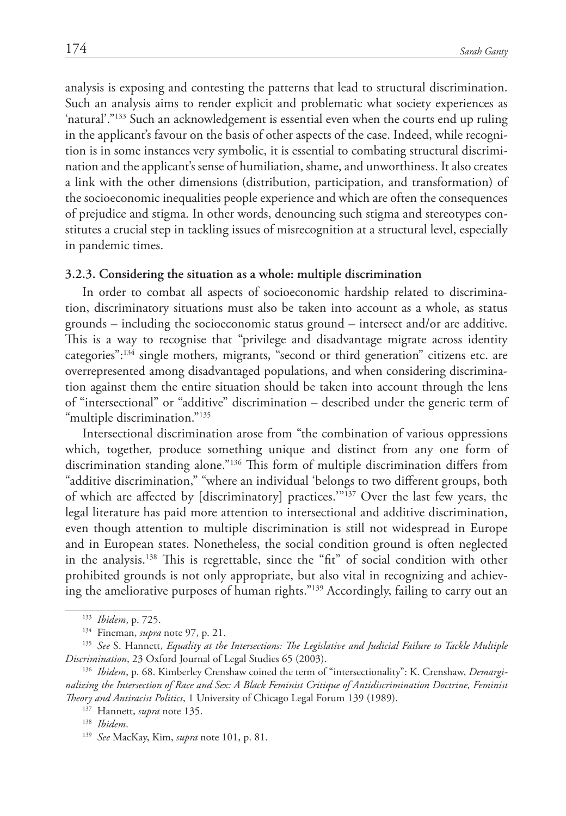analysis is exposing and contesting the patterns that lead to structural discrimination. Such an analysis aims to render explicit and problematic what society experiences as 'natural'."133 Such an acknowledgement is essential even when the courts end up ruling in the applicant's favour on the basis of other aspects of the case. Indeed, while recognition is in some instances very symbolic, it is essential to combating structural discrimination and the applicant's sense of humiliation, shame, and unworthiness. It also creates a link with the other dimensions (distribution, participation, and transformation) of the socioeconomic inequalities people experience and which are often the consequences of prejudice and stigma. In other words, denouncing such stigma and stereotypes constitutes a crucial step in tackling issues of misrecognition at a structural level, especially in pandemic times.

#### **3.2.3. Considering the situation as a whole: multiple discrimination**

In order to combat all aspects of socioeconomic hardship related to discrimination, discriminatory situations must also be taken into account as a whole, as status grounds – including the socioeconomic status ground – intersect and/or are additive. This is a way to recognise that "privilege and disadvantage migrate across identity categories":134 single mothers, migrants, "second or third generation" citizens etc. are overrepresented among disadvantaged populations, and when considering discrimination against them the entire situation should be taken into account through the lens of "intersectional" or "additive" discrimination – described under the generic term of "multiple discrimination."135

Intersectional discrimination arose from "the combination of various oppressions which, together, produce something unique and distinct from any one form of discrimination standing alone."136 This form of multiple discrimination differs from "additive discrimination," "where an individual 'belongs to two different groups, both of which are affected by [discriminatory] practices.'"137 Over the last few years, the legal literature has paid more attention to intersectional and additive discrimination, even though attention to multiple discrimination is still not widespread in Europe and in European states. Nonetheless, the social condition ground is often neglected in the analysis.138 This is regrettable, since the "fit" of social condition with other prohibited grounds is not only appropriate, but also vital in recognizing and achieving the ameliorative purposes of human rights."139 Accordingly, failing to carry out an

<sup>133</sup> *Ibidem*, p. 725.

<sup>134</sup> Fineman, *supra* note 97, p. 21.

<sup>135</sup> *See* S. Hannett, *Equality at the Intersections: The Legislative and Judicial Failure to Tackle Multiple Discrimination*, 23 Oxford Journal of Legal Studies 65 (2003).

<sup>136</sup> *Ibidem*, p. 68. Kimberley Crenshaw coined the term of "intersectionality": K. Crenshaw, *Demarginalizing the Intersection of Race and Sex: A Black Feminist Critique of Antidiscrimination Doctrine, Feminist Theory and Antiracist Politics*, 1 University of Chicago Legal Forum 139 (1989).

<sup>137</sup> Hannett, *supra* note 135.

<sup>138</sup> *Ibidem*.

<sup>139</sup> *See* MacKay, Kim, *supra* note 101, p. 81.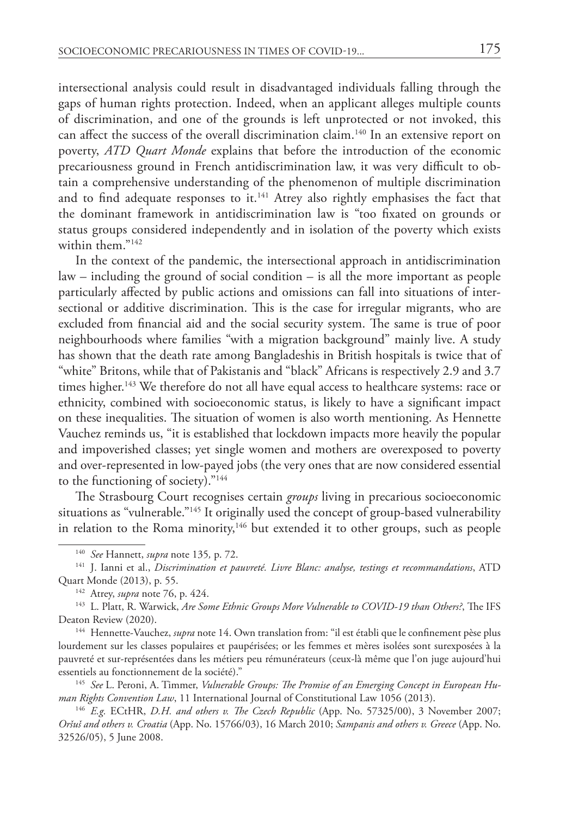intersectional analysis could result in disadvantaged individuals falling through the gaps of human rights protection. Indeed, when an applicant alleges multiple counts of discrimination, and one of the grounds is left unprotected or not invoked, this can affect the success of the overall discrimination claim.<sup>140</sup> In an extensive report on poverty, *ATD Quart Monde* explains that before the introduction of the economic precariousness ground in French antidiscrimination law, it was very difficult to obtain a comprehensive understanding of the phenomenon of multiple discrimination and to find adequate responses to it.<sup>141</sup> Atrey also rightly emphasises the fact that the dominant framework in antidiscrimination law is "too fixated on grounds or status groups considered independently and in isolation of the poverty which exists within them."<sup>142</sup>

In the context of the pandemic, the intersectional approach in antidiscrimination law – including the ground of social condition – is all the more important as people particularly affected by public actions and omissions can fall into situations of intersectional or additive discrimination. This is the case for irregular migrants, who are excluded from financial aid and the social security system. The same is true of poor neighbourhoods where families "with a migration background" mainly live. A study has shown that the death rate among Bangladeshis in British hospitals is twice that of "white" Britons, while that of Pakistanis and "black" Africans is respectively 2.9 and 3.7 times higher.<sup>143</sup> We therefore do not all have equal access to healthcare systems: race or ethnicity, combined with socioeconomic status, is likely to have a significant impact on these inequalities. The situation of women is also worth mentioning. As Hennette Vauchez reminds us, "it is established that lockdown impacts more heavily the popular and impoverished classes; yet single women and mothers are overexposed to poverty and over-represented in low-payed jobs (the very ones that are now considered essential to the functioning of society)."144

The Strasbourg Court recognises certain *groups* living in precarious socioeconomic situations as "vulnerable."145 It originally used the concept of group-based vulnerability in relation to the Roma minority,<sup>146</sup> but extended it to other groups, such as people

<sup>140</sup> *See* Hannett, *supra* note 135*,* p. 72.

<sup>141</sup> J. Ianni et al., *Discrimination et pauvreté. Livre Blanc: analyse, testings et recommandations*, ATD Quart Monde (2013), p. 55.

<sup>142</sup> Atrey, *supra* note 76, p. 424.

<sup>143</sup> L. Platt, R. Warwick, *Are Some Ethnic Groups More Vulnerable to COVID-19 than Others?*, The IFS Deaton Review (2020).

<sup>144</sup> Hennette-Vauchez, *supra* note 14. Own translation from: "il est établi que le confinement pèse plus lourdement sur les classes populaires et paupérisées; or les femmes et mères isolées sont surexposées à la pauvreté et sur-représentées dans les métiers peu rémunérateurs (ceux-là même que l'on juge aujourd'hui essentiels au fonctionnement de la société)."

<sup>145</sup> *See* L. Peroni, A. Timmer, *Vulnerable Groups: The Promise of an Emerging Concept in European Human Rights Convention Law*, 11 International Journal of Constitutional Law 1056 (2013). 146 *E.g.* ECtHR, *D.H. and others v. The Czech Republic* (App. No. 57325/00), 3 November 2007;

*Oršuš and others v. Croatia* (App. No. 15766/03), 16 March 2010; *Sampanis and others v. Greece* (App. No. 32526/05), 5 June 2008.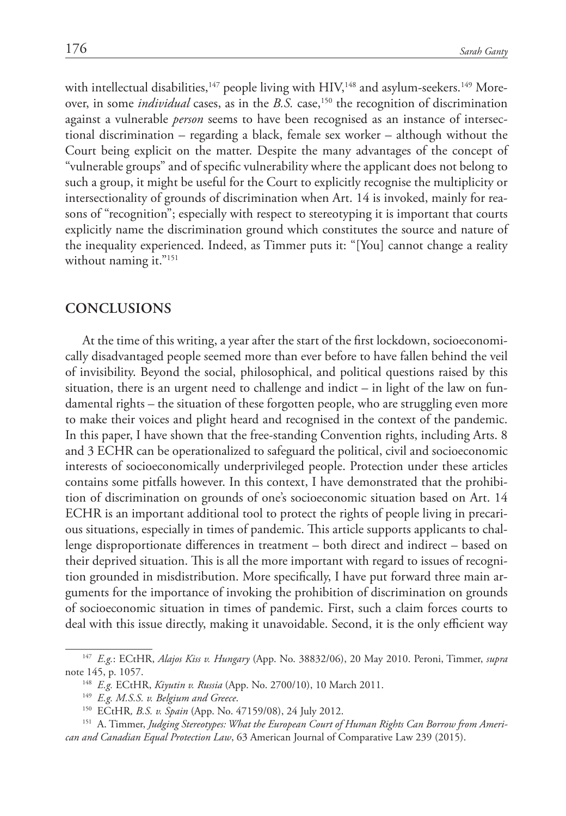with intellectual disabilities, $^{147}$  people living with HIV, $^{148}$  and asylum-seekers. $^{149}$  Moreover, in some *individual* cases, as in the *B.S.* case,<sup>150</sup> the recognition of discrimination against a vulnerable *person* seems to have been recognised as an instance of intersectional discrimination – regarding a black, female sex worker – although without the Court being explicit on the matter. Despite the many advantages of the concept of "vulnerable groups" and of specific vulnerability where the applicant does not belong to such a group, it might be useful for the Court to explicitly recognise the multiplicity or intersectionality of grounds of discrimination when Art. 14 is invoked, mainly for reasons of "recognition"; especially with respect to stereotyping it is important that courts explicitly name the discrimination ground which constitutes the source and nature of the inequality experienced. Indeed, as Timmer puts it: "[You] cannot change a reality without naming it."<sup>151</sup>

#### **Conclusions**

At the time of this writing, a year after the start of the first lockdown, socioeconomically disadvantaged people seemed more than ever before to have fallen behind the veil of invisibility. Beyond the social, philosophical, and political questions raised by this situation, there is an urgent need to challenge and indict  $-$  in light of the law on fundamental rights – the situation of these forgotten people, who are struggling even more to make their voices and plight heard and recognised in the context of the pandemic. In this paper, I have shown that the free-standing Convention rights, including Arts. 8 and 3 ECHR can be operationalized to safeguard the political, civil and socioeconomic interests of socioeconomically underprivileged people. Protection under these articles contains some pitfalls however. In this context, I have demonstrated that the prohibition of discrimination on grounds of one's socioeconomic situation based on Art. 14 ECHR is an important additional tool to protect the rights of people living in precarious situations, especially in times of pandemic. This article supports applicants to challenge disproportionate differences in treatment – both direct and indirect – based on their deprived situation. This is all the more important with regard to issues of recognition grounded in misdistribution. More specifically, I have put forward three main arguments for the importance of invoking the prohibition of discrimination on grounds of socioeconomic situation in times of pandemic. First, such a claim forces courts to deal with this issue directly, making it unavoidable. Second, it is the only efficient way

<sup>147</sup> *E.g.*: ECtHR, *Alajos Kiss v. Hungary* (App. No. 38832/06), 20 May 2010. Peroni, Timmer, *supra* note 145, p. 1057.

<sup>148</sup> *E.g.* ECtHR, *Kiyutin v. Russia* (App. No. 2700/10), 10 March 2011.

<sup>149</sup> *E.g. M.S.S. v. Belgium and Greece*.

<sup>150</sup> ECtHR*, B.S. v. Spain* (App. No. 47159/08), 24 July 2012.

<sup>&</sup>lt;sup>151</sup> A. Timmer, *Judging Stereotypes: What the European Court of Human Rights Can Borrow from American and Canadian Equal Protection Law*, 63 American Journal of Comparative Law 239 (2015).